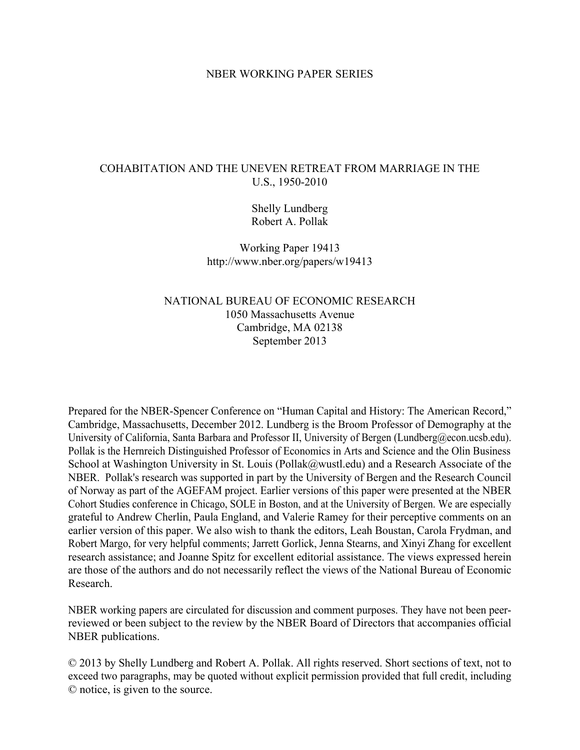# NBER WORKING PAPER SERIES

# COHABITATION AND THE UNEVEN RETREAT FROM MARRIAGE IN THE U.S., 1950-2010

Shelly Lundberg Robert A. Pollak

Working Paper 19413 http://www.nber.org/papers/w19413

# NATIONAL BUREAU OF ECONOMIC RESEARCH 1050 Massachusetts Avenue Cambridge, MA 02138 September 2013

Prepared for the NBER-Spencer Conference on "Human Capital and History: The American Record," Cambridge, Massachusetts, December 2012. Lundberg is the Broom Professor of Demography at the University of California, Santa Barbara and Professor II, University of Bergen (Lundberg@econ.ucsb.edu). Pollak is the Hernreich Distinguished Professor of Economics in Arts and Science and the Olin Business School at Washington University in St. Louis (Pollak@wustl.edu) and a Research Associate of the NBER. Pollak's research was supported in part by the University of Bergen and the Research Council of Norway as part of the AGEFAM project. Earlier versions of this paper were presented at the NBER Cohort Studies conference in Chicago, SOLE in Boston, and at the University of Bergen. We are especially grateful to Andrew Cherlin, Paula England, and Valerie Ramey for their perceptive comments on an earlier version of this paper. We also wish to thank the editors, Leah Boustan, Carola Frydman, and Robert Margo, for very helpful comments; Jarrett Gorlick, Jenna Stearns, and Xinyi Zhang for excellent research assistance; and Joanne Spitz for excellent editorial assistance. The views expressed herein are those of the authors and do not necessarily reflect the views of the National Bureau of Economic Research.

NBER working papers are circulated for discussion and comment purposes. They have not been peerreviewed or been subject to the review by the NBER Board of Directors that accompanies official NBER publications.

© 2013 by Shelly Lundberg and Robert A. Pollak. All rights reserved. Short sections of text, not to exceed two paragraphs, may be quoted without explicit permission provided that full credit, including © notice, is given to the source.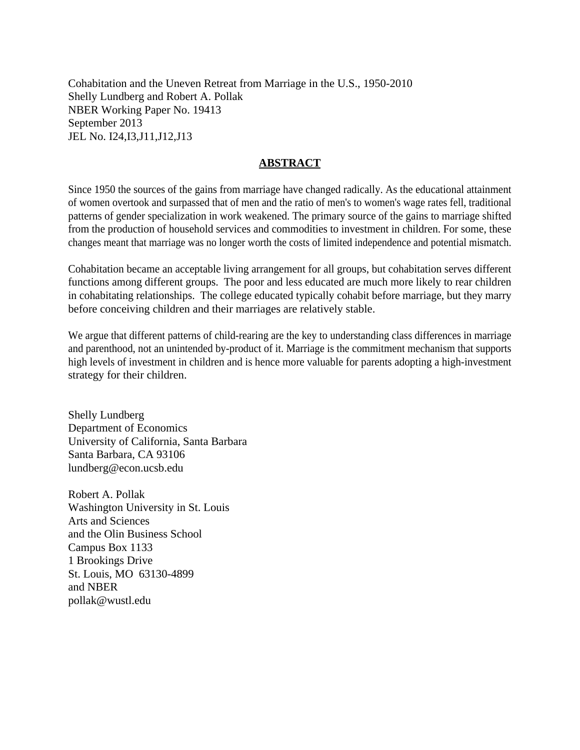Cohabitation and the Uneven Retreat from Marriage in the U.S., 1950-2010 Shelly Lundberg and Robert A. Pollak NBER Working Paper No. 19413 September 2013 JEL No. I24,I3,J11,J12,J13

# **ABSTRACT**

Since 1950 the sources of the gains from marriage have changed radically. As the educational attainment of women overtook and surpassed that of men and the ratio of men's to women's wage rates fell, traditional patterns of gender specialization in work weakened. The primary source of the gains to marriage shifted from the production of household services and commodities to investment in children. For some, these changes meant that marriage was no longer worth the costs of limited independence and potential mismatch.

Cohabitation became an acceptable living arrangement for all groups, but cohabitation serves different functions among different groups. The poor and less educated are much more likely to rear children in cohabitating relationships. The college educated typically cohabit before marriage, but they marry before conceiving children and their marriages are relatively stable.

We argue that different patterns of child-rearing are the key to understanding class differences in marriage and parenthood, not an unintended by-product of it. Marriage is the commitment mechanism that supports high levels of investment in children and is hence more valuable for parents adopting a high-investment strategy for their children.

Shelly Lundberg Department of Economics University of California, Santa Barbara Santa Barbara, CA 93106 lundberg@econ.ucsb.edu

Robert A. Pollak Washington University in St. Louis Arts and Sciences and the Olin Business School Campus Box 1133 1 Brookings Drive St. Louis, MO 63130-4899 and NBER pollak@wustl.edu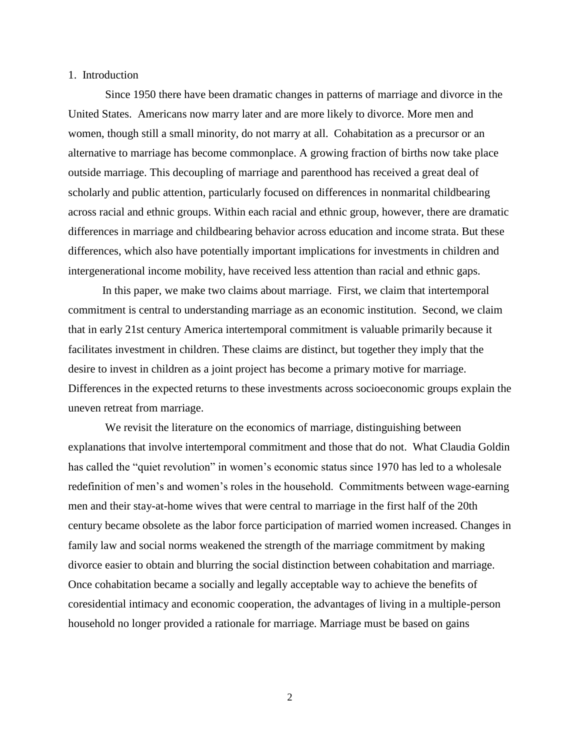### 1. Introduction

Since 1950 there have been dramatic changes in patterns of marriage and divorce in the United States. Americans now marry later and are more likely to divorce. More men and women, though still a small minority, do not marry at all. Cohabitation as a precursor or an alternative to marriage has become commonplace. A growing fraction of births now take place outside marriage. This decoupling of marriage and parenthood has received a great deal of scholarly and public attention, particularly focused on differences in nonmarital childbearing across racial and ethnic groups. Within each racial and ethnic group, however, there are dramatic differences in marriage and childbearing behavior across education and income strata. But these differences, which also have potentially important implications for investments in children and intergenerational income mobility, have received less attention than racial and ethnic gaps.

In this paper, we make two claims about marriage. First, we claim that intertemporal commitment is central to understanding marriage as an economic institution. Second, we claim that in early 21st century America intertemporal commitment is valuable primarily because it facilitates investment in children. These claims are distinct, but together they imply that the desire to invest in children as a joint project has become a primary motive for marriage. Differences in the expected returns to these investments across socioeconomic groups explain the uneven retreat from marriage.

We revisit the literature on the economics of marriage, distinguishing between explanations that involve intertemporal commitment and those that do not. What Claudia Goldin has called the "quiet revolution" in women's economic status since 1970 has led to a wholesale redefinition of men's and women's roles in the household. Commitments between wage-earning men and their stay-at-home wives that were central to marriage in the first half of the 20th century became obsolete as the labor force participation of married women increased. Changes in family law and social norms weakened the strength of the marriage commitment by making divorce easier to obtain and blurring the social distinction between cohabitation and marriage. Once cohabitation became a socially and legally acceptable way to achieve the benefits of coresidential intimacy and economic cooperation, the advantages of living in a multiple-person household no longer provided a rationale for marriage. Marriage must be based on gains

2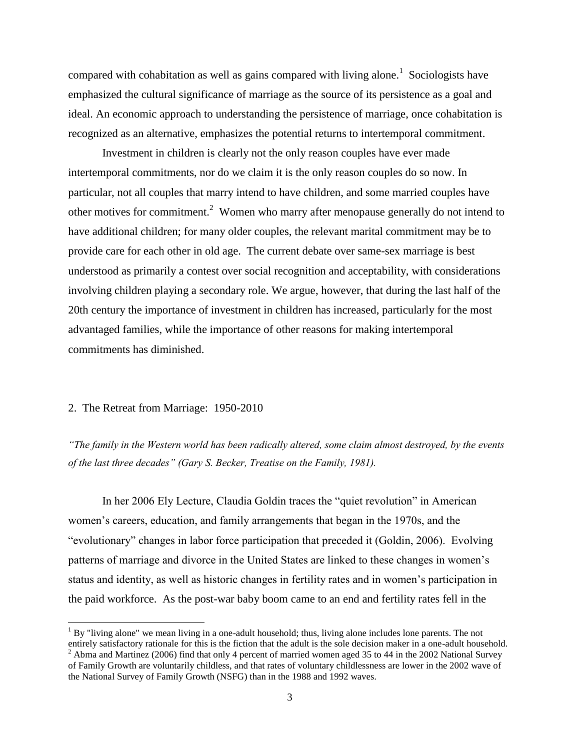compared with cohabitation as well as gains compared with living alone.<sup>1</sup> Sociologists have emphasized the cultural significance of marriage as the source of its persistence as a goal and ideal. An economic approach to understanding the persistence of marriage, once cohabitation is recognized as an alternative, emphasizes the potential returns to intertemporal commitment.

Investment in children is clearly not the only reason couples have ever made intertemporal commitments, nor do we claim it is the only reason couples do so now. In particular, not all couples that marry intend to have children, and some married couples have other motives for commitment.<sup>2</sup> Women who marry after menopause generally do not intend to have additional children; for many older couples, the relevant marital commitment may be to provide care for each other in old age. The current debate over same-sex marriage is best understood as primarily a contest over social recognition and acceptability, with considerations involving children playing a secondary role. We argue, however, that during the last half of the 20th century the importance of investment in children has increased, particularly for the most advantaged families, while the importance of other reasons for making intertemporal commitments has diminished.

### 2. The Retreat from Marriage: 1950-2010

 $\overline{a}$ 

*"The family in the Western world has been radically altered, some claim almost destroyed, by the events of the last three decades" (Gary S. Becker, Treatise on the Family, 1981).*

In her 2006 Ely Lecture, Claudia Goldin traces the "quiet revolution" in American women's careers, education, and family arrangements that began in the 1970s, and the "evolutionary" changes in labor force participation that preceded it (Goldin, 2006). Evolving patterns of marriage and divorce in the United States are linked to these changes in women's status and identity, as well as historic changes in fertility rates and in women's participation in the paid workforce. As the post-war baby boom came to an end and fertility rates fell in the

 $1$  By "living alone" we mean living in a one-adult household; thus, living alone includes lone parents. The not entirely satisfactory rationale for this is the fiction that the adult is the sole decision maker in a one-adult household.  $2$  Abma and Martinez (2006) find that only 4 percent of married women aged 35 to 44 in the 2002 National Survey of Family Growth are voluntarily childless, and that rates of voluntary childlessness are lower in the 2002 wave of the National Survey of Family Growth (NSFG) than in the 1988 and 1992 waves.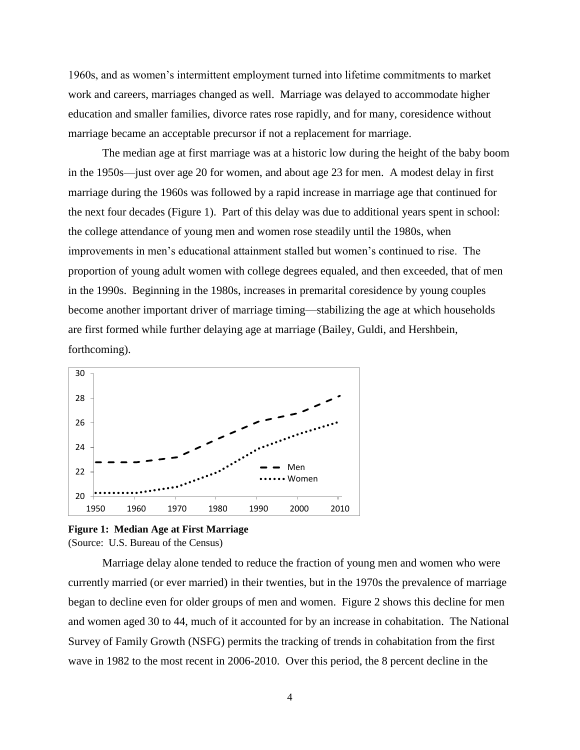1960s, and as women's intermittent employment turned into lifetime commitments to market work and careers, marriages changed as well. Marriage was delayed to accommodate higher education and smaller families, divorce rates rose rapidly, and for many, coresidence without marriage became an acceptable precursor if not a replacement for marriage.

The median age at first marriage was at a historic low during the height of the baby boom in the 1950s—just over age 20 for women, and about age 23 for men. A modest delay in first marriage during the 1960s was followed by a rapid increase in marriage age that continued for the next four decades (Figure 1). Part of this delay was due to additional years spent in school: the college attendance of young men and women rose steadily until the 1980s, when improvements in men's educational attainment stalled but women's continued to rise. The proportion of young adult women with college degrees equaled, and then exceeded, that of men in the 1990s. Beginning in the 1980s, increases in premarital coresidence by young couples become another important driver of marriage timing—stabilizing the age at which households are first formed while further delaying age at marriage (Bailey, Guldi, and Hershbein, forthcoming).



**Figure 1: Median Age at First Marriage** (Source: U.S. Bureau of the Census)

Marriage delay alone tended to reduce the fraction of young men and women who were currently married (or ever married) in their twenties, but in the 1970s the prevalence of marriage began to decline even for older groups of men and women. Figure 2 shows this decline for men and women aged 30 to 44, much of it accounted for by an increase in cohabitation. The National Survey of Family Growth (NSFG) permits the tracking of trends in cohabitation from the first wave in 1982 to the most recent in 2006-2010. Over this period, the 8 percent decline in the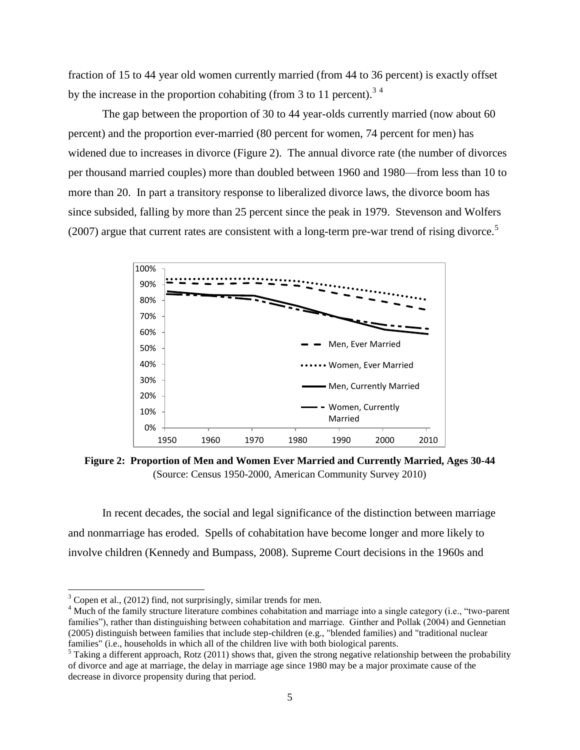fraction of 15 to 44 year old women currently married (from 44 to 36 percent) is exactly offset by the increase in the proportion cohabiting (from 3 to 11 percent).<sup>34</sup>

The gap between the proportion of 30 to 44 year-olds currently married (now about 60 percent) and the proportion ever-married (80 percent for women, 74 percent for men) has widened due to increases in divorce (Figure 2). The annual divorce rate (the number of divorces per thousand married couples) more than doubled between 1960 and 1980—from less than 10 to more than 20. In part a transitory response to liberalized divorce laws, the divorce boom has since subsided, falling by more than 25 percent since the peak in 1979. Stevenson and Wolfers (2007) argue that current rates are consistent with a long-term pre-war trend of rising divorce.<sup>5</sup>



**Figure 2: Proportion of Men and Women Ever Married and Currently Married, Ages 30-44** (Source: Census 1950-2000, American Community Survey 2010)

In recent decades, the social and legal significance of the distinction between marriage and nonmarriage has eroded. Spells of cohabitation have become longer and more likely to involve children (Kennedy and Bumpass, 2008). Supreme Court decisions in the 1960s and

 $\overline{a}$ 

 $3^3$  Copen et al., (2012) find, not surprisingly, similar trends for men.

<sup>&</sup>lt;sup>4</sup> Much of the family structure literature combines cohabitation and marriage into a single category (i.e., "two-parent" families"), rather than distinguishing between cohabitation and marriage. Ginther and Pollak (2004) and Gennetian (2005) distinguish between families that include step-children (e.g., "blended families) and "traditional nuclear families" (i.e., households in which all of the children live with both biological parents.

 $5$  Taking a different approach, Rotz (2011) shows that, given the strong negative relationship between the probability of divorce and age at marriage, the delay in marriage age since 1980 may be a major proximate cause of the decrease in divorce propensity during that period.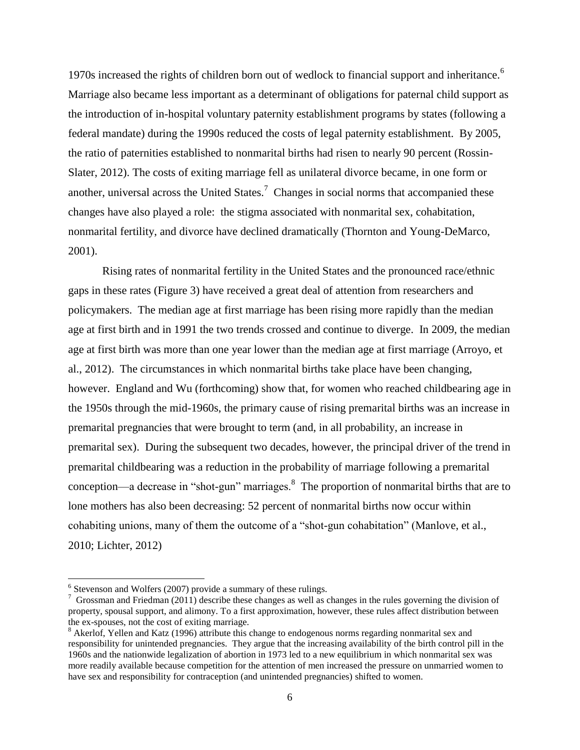1970s increased the rights of children born out of wedlock to financial support and inheritance.<sup>6</sup> Marriage also became less important as a determinant of obligations for paternal child support as the introduction of in-hospital voluntary paternity establishment programs by states (following a federal mandate) during the 1990s reduced the costs of legal paternity establishment. By 2005, the ratio of paternities established to nonmarital births had risen to nearly 90 percent (Rossin-Slater, 2012). The costs of exiting marriage fell as unilateral divorce became, in one form or another, universal across the United States.<sup>7</sup> Changes in social norms that accompanied these changes have also played a role: the stigma associated with nonmarital sex, cohabitation, nonmarital fertility, and divorce have declined dramatically (Thornton and Young-DeMarco, 2001).

Rising rates of nonmarital fertility in the United States and the pronounced race/ethnic gaps in these rates (Figure 3) have received a great deal of attention from researchers and policymakers. The median age at first marriage has been rising more rapidly than the median age at first birth and in 1991 the two trends crossed and continue to diverge. In 2009, the median age at first birth was more than one year lower than the median age at first marriage (Arroyo, et al., 2012). The circumstances in which nonmarital births take place have been changing, however. England and Wu (forthcoming) show that, for women who reached childbearing age in the 1950s through the mid-1960s, the primary cause of rising premarital births was an increase in premarital pregnancies that were brought to term (and, in all probability, an increase in premarital sex). During the subsequent two decades, however, the principal driver of the trend in premarital childbearing was a reduction in the probability of marriage following a premarital conception—a decrease in "shot-gun" marriages. $8$  The proportion of nonmarital births that are to lone mothers has also been decreasing: 52 percent of nonmarital births now occur within cohabiting unions, many of them the outcome of a "shot-gun cohabitation" (Manlove, et al., 2010; Lichter, 2012)

 6 Stevenson and Wolfers (2007) provide a summary of these rulings.

 $7$  Grossman and Friedman (2011) describe these changes as well as changes in the rules governing the division of property, spousal support, and alimony. To a first approximation, however, these rules affect distribution between the ex-spouses, not the cost of exiting marriage.

<sup>&</sup>lt;sup>8</sup> Akerlof, Yellen and Katz (1996) attribute this change to endogenous norms regarding nonmarital sex and responsibility for unintended pregnancies. They argue that the increasing availability of the birth control pill in the 1960s and the nationwide legalization of abortion in 1973 led to a new equilibrium in which nonmarital sex was more readily available because competition for the attention of men increased the pressure on unmarried women to have sex and responsibility for contraception (and unintended pregnancies) shifted to women.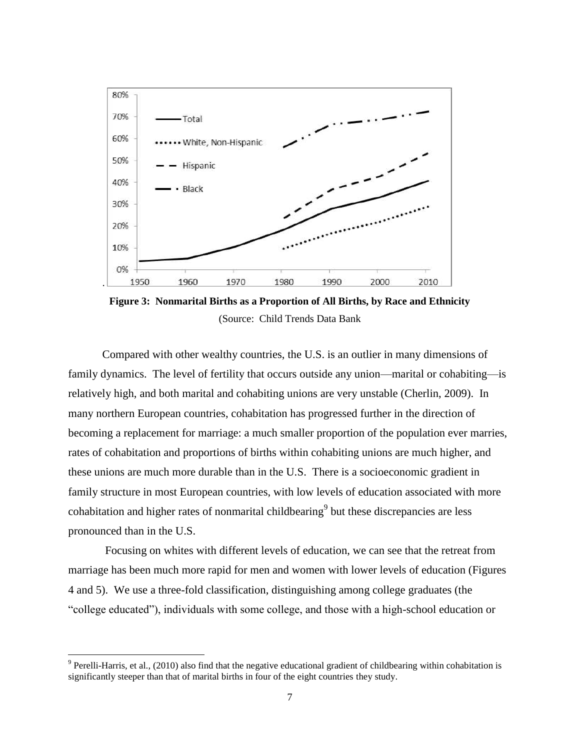

**Figure 3: Nonmarital Births as a Proportion of All Births, by Race and Ethnicity** (Source: Child Trends Data Bank

Compared with other wealthy countries, the U.S. is an outlier in many dimensions of family dynamics. The level of fertility that occurs outside any union—marital or cohabiting—is relatively high, and both marital and cohabiting unions are very unstable (Cherlin, 2009). In many northern European countries, cohabitation has progressed further in the direction of becoming a replacement for marriage: a much smaller proportion of the population ever marries, rates of cohabitation and proportions of births within cohabiting unions are much higher, and these unions are much more durable than in the U.S. There is a socioeconomic gradient in family structure in most European countries, with low levels of education associated with more cohabitation and higher rates of nonmarital childbearing<sup>9</sup> but these discrepancies are less pronounced than in the U.S.

Focusing on whites with different levels of education, we can see that the retreat from marriage has been much more rapid for men and women with lower levels of education (Figures 4 and 5). We use a three-fold classification, distinguishing among college graduates (the "college educated"), individuals with some college, and those with a high-school education or

 $9$  Perelli-Harris, et al., (2010) also find that the negative educational gradient of childbearing within cohabitation is significantly steeper than that of marital births in four of the eight countries they study.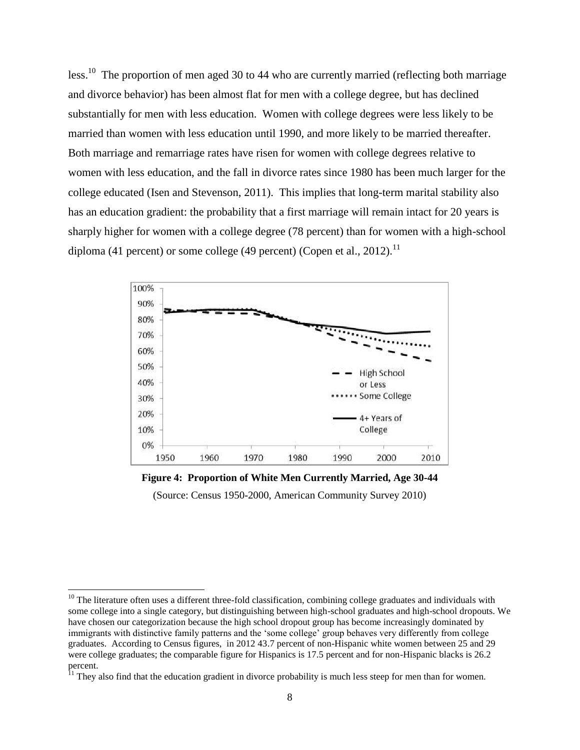less.<sup>10</sup> The proportion of men aged 30 to 44 who are currently married (reflecting both marriage and divorce behavior) has been almost flat for men with a college degree, but has declined substantially for men with less education. Women with college degrees were less likely to be married than women with less education until 1990, and more likely to be married thereafter. Both marriage and remarriage rates have risen for women with college degrees relative to women with less education, and the fall in divorce rates since 1980 has been much larger for the college educated (Isen and Stevenson, 2011). This implies that long-term marital stability also has an education gradient: the probability that a first marriage will remain intact for 20 years is sharply higher for women with a college degree (78 percent) than for women with a high-school diploma (41 percent) or some college (49 percent) (Copen et al., 2012).<sup>11</sup>



**Figure 4: Proportion of White Men Currently Married, Age 30-44**

(Source: Census 1950-2000, American Community Survey 2010)

 $\overline{a}$ 

 $10$  The literature often uses a different three-fold classification, combining college graduates and individuals with some college into a single category, but distinguishing between high-school graduates and high-school dropouts. We have chosen our categorization because the high school dropout group has become increasingly dominated by immigrants with distinctive family patterns and the 'some college' group behaves very differently from college graduates. According to Census figures, in 2012 43.7 percent of non-Hispanic white women between 25 and 29 were college graduates; the comparable figure for Hispanics is 17.5 percent and for non-Hispanic blacks is 26.2 percent.

<sup>&</sup>lt;sup>11</sup> They also find that the education gradient in divorce probability is much less steep for men than for women.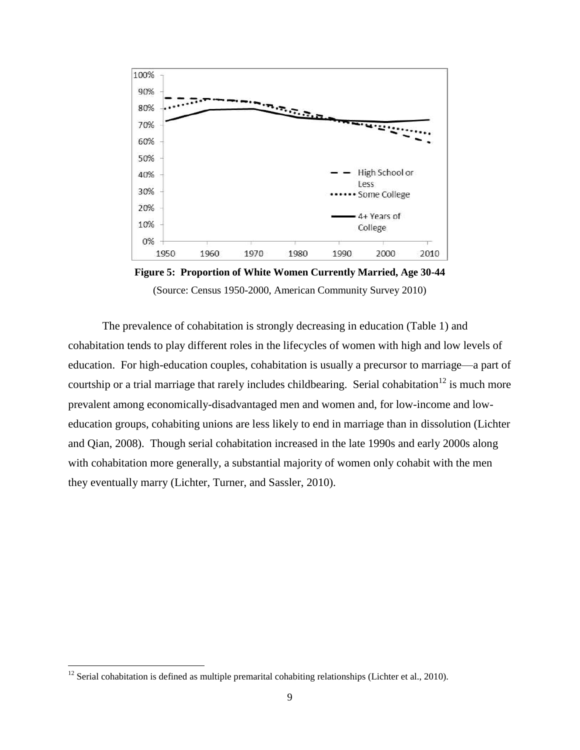

**Figure 5: Proportion of White Women Currently Married, Age 30-44** (Source: Census 1950-2000, American Community Survey 2010)

The prevalence of cohabitation is strongly decreasing in education (Table 1) and cohabitation tends to play different roles in the lifecycles of women with high and low levels of education. For high-education couples, cohabitation is usually a precursor to marriage—a part of courtship or a trial marriage that rarely includes childbearing. Serial cohabitation<sup>12</sup> is much more prevalent among economically-disadvantaged men and women and, for low-income and loweducation groups, cohabiting unions are less likely to end in marriage than in dissolution (Lichter and Qian, 2008). Though serial cohabitation increased in the late 1990s and early 2000s along with cohabitation more generally, a substantial majority of women only cohabit with the men they eventually marry (Lichter, Turner, and Sassler, 2010).

 $12$  Serial cohabitation is defined as multiple premarital cohabiting relationships (Lichter et al., 2010).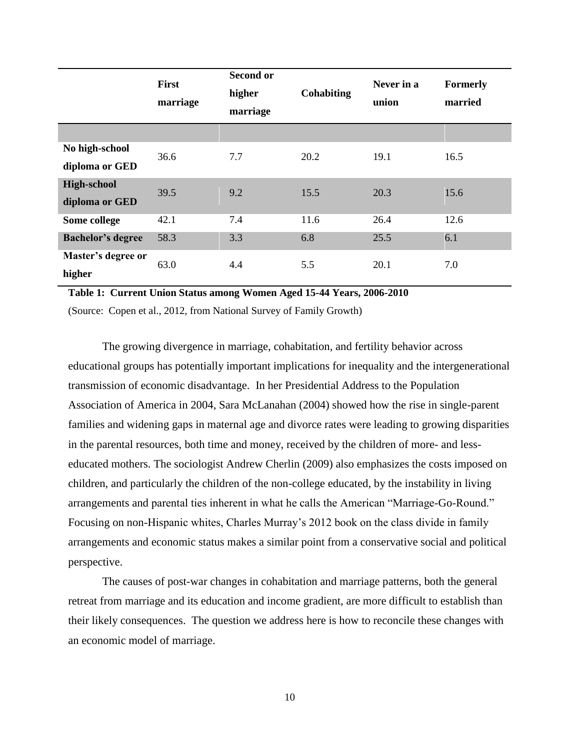|                              | First<br>marriage | <b>Second or</b><br>higher<br>marriage | <b>Cohabiting</b> | Never in a<br>union | <b>Formerly</b><br>married |
|------------------------------|-------------------|----------------------------------------|-------------------|---------------------|----------------------------|
|                              |                   |                                        |                   |                     |                            |
| No high-school               | 36.6              | 7.7                                    | 20.2              | 19.1                | 16.5                       |
| diploma or GED               |                   |                                        |                   |                     |                            |
| <b>High-school</b>           | 39.5              | 9.2                                    | 15.5              | 20.3                | 15.6                       |
| diploma or GED               |                   |                                        |                   |                     |                            |
| Some college                 | 42.1              | 7.4                                    | 11.6              | 26.4                | 12.6                       |
| <b>Bachelor's degree</b>     | 58.3              | 3.3                                    | 6.8               | 25.5                | 6.1                        |
| Master's degree or<br>higher | 63.0              | 4.4                                    | 5.5               | 20.1                | 7.0                        |

**Table 1: Current Union Status among Women Aged 15-44 Years, 2006-2010**

(Source: Copen et al., 2012, from National Survey of Family Growth)

The growing divergence in marriage, cohabitation, and fertility behavior across educational groups has potentially important implications for inequality and the intergenerational transmission of economic disadvantage. In her Presidential Address to the Population Association of America in 2004, Sara McLanahan (2004) showed how the rise in single-parent families and widening gaps in maternal age and divorce rates were leading to growing disparities in the parental resources, both time and money, received by the children of more- and lesseducated mothers. The sociologist Andrew Cherlin (2009) also emphasizes the costs imposed on children, and particularly the children of the non-college educated, by the instability in living arrangements and parental ties inherent in what he calls the American "Marriage-Go-Round." Focusing on non-Hispanic whites, Charles Murray's 2012 book on the class divide in family arrangements and economic status makes a similar point from a conservative social and political perspective.

The causes of post-war changes in cohabitation and marriage patterns, both the general retreat from marriage and its education and income gradient, are more difficult to establish than their likely consequences. The question we address here is how to reconcile these changes with an economic model of marriage.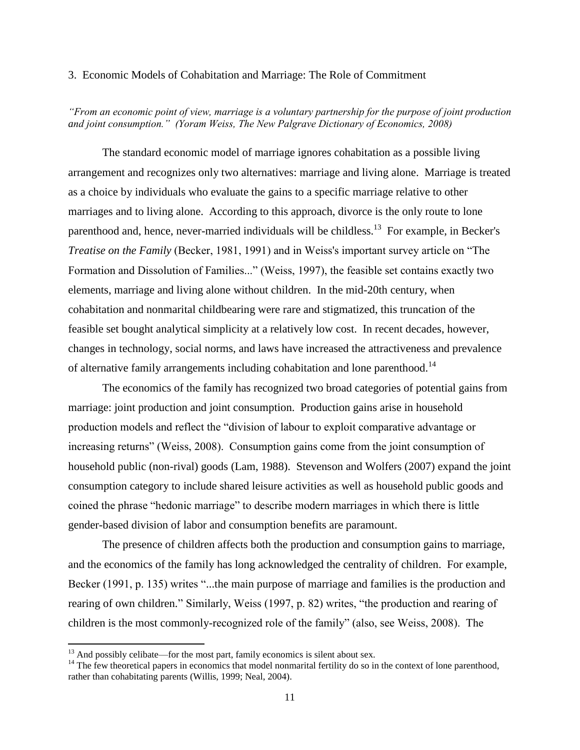# 3. Economic Models of Cohabitation and Marriage: The Role of Commitment

*"From an economic point of view, marriage is a voluntary partnership for the purpose of joint production and joint consumption." (Yoram Weiss, The New Palgrave Dictionary of Economics, 2008)*

The standard economic model of marriage ignores cohabitation as a possible living arrangement and recognizes only two alternatives: marriage and living alone. Marriage is treated as a choice by individuals who evaluate the gains to a specific marriage relative to other marriages and to living alone. According to this approach, divorce is the only route to lone parenthood and, hence, never-married individuals will be childless.<sup>13</sup> For example, in Becker's *Treatise on the Family* (Becker, 1981, 1991) and in Weiss's important survey article on "The Formation and Dissolution of Families..." (Weiss, 1997), the feasible set contains exactly two elements, marriage and living alone without children. In the mid-20th century, when cohabitation and nonmarital childbearing were rare and stigmatized, this truncation of the feasible set bought analytical simplicity at a relatively low cost. In recent decades, however, changes in technology, social norms, and laws have increased the attractiveness and prevalence of alternative family arrangements including cohabitation and lone parenthood.<sup>14</sup>

The economics of the family has recognized two broad categories of potential gains from marriage: joint production and joint consumption. Production gains arise in household production models and reflect the "division of labour to exploit comparative advantage or increasing returns" (Weiss, 2008). Consumption gains come from the joint consumption of household public (non-rival) goods (Lam, 1988). Stevenson and Wolfers (2007) expand the joint consumption category to include shared leisure activities as well as household public goods and coined the phrase "hedonic marriage" to describe modern marriages in which there is little gender-based division of labor and consumption benefits are paramount.

The presence of children affects both the production and consumption gains to marriage, and the economics of the family has long acknowledged the centrality of children. For example, Becker (1991, p. 135) writes "...the main purpose of marriage and families is the production and rearing of own children." Similarly, Weiss (1997, p. 82) writes, "the production and rearing of children is the most commonly-recognized role of the family" (also, see Weiss, 2008). The

 $13$  And possibly celibate—for the most part, family economics is silent about sex.

<sup>&</sup>lt;sup>14</sup> The few theoretical papers in economics that model nonmarital fertility do so in the context of lone parenthood, rather than cohabitating parents (Willis, 1999; Neal, 2004).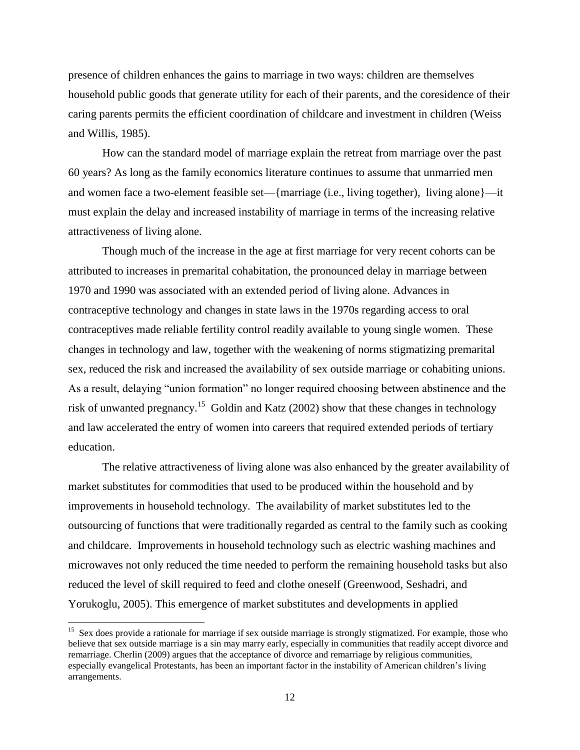presence of children enhances the gains to marriage in two ways: children are themselves household public goods that generate utility for each of their parents, and the coresidence of their caring parents permits the efficient coordination of childcare and investment in children (Weiss and Willis, 1985).

How can the standard model of marriage explain the retreat from marriage over the past 60 years? As long as the family economics literature continues to assume that unmarried men and women face a two-element feasible set—{marriage (i.e., living together), living alone}—it must explain the delay and increased instability of marriage in terms of the increasing relative attractiveness of living alone.

Though much of the increase in the age at first marriage for very recent cohorts can be attributed to increases in premarital cohabitation, the pronounced delay in marriage between 1970 and 1990 was associated with an extended period of living alone. Advances in contraceptive technology and changes in state laws in the 1970s regarding access to oral contraceptives made reliable fertility control readily available to young single women. These changes in technology and law, together with the weakening of norms stigmatizing premarital sex, reduced the risk and increased the availability of sex outside marriage or cohabiting unions. As a result, delaying "union formation" no longer required choosing between abstinence and the risk of unwanted pregnancy.<sup>15</sup> Goldin and Katz (2002) show that these changes in technology and law accelerated the entry of women into careers that required extended periods of tertiary education.

The relative attractiveness of living alone was also enhanced by the greater availability of market substitutes for commodities that used to be produced within the household and by improvements in household technology. The availability of market substitutes led to the outsourcing of functions that were traditionally regarded as central to the family such as cooking and childcare. Improvements in household technology such as electric washing machines and microwaves not only reduced the time needed to perform the remaining household tasks but also reduced the level of skill required to feed and clothe oneself (Greenwood, Seshadri, and Yorukoglu, 2005). This emergence of market substitutes and developments in applied

<sup>&</sup>lt;sup>15</sup> Sex does provide a rationale for marriage if sex outside marriage is strongly stigmatized. For example, those who believe that sex outside marriage is a sin may marry early, especially in communities that readily accept divorce and remarriage. Cherlin (2009) argues that the acceptance of divorce and remarriage by religious communities, especially evangelical Protestants, has been an important factor in the instability of American children's living arrangements.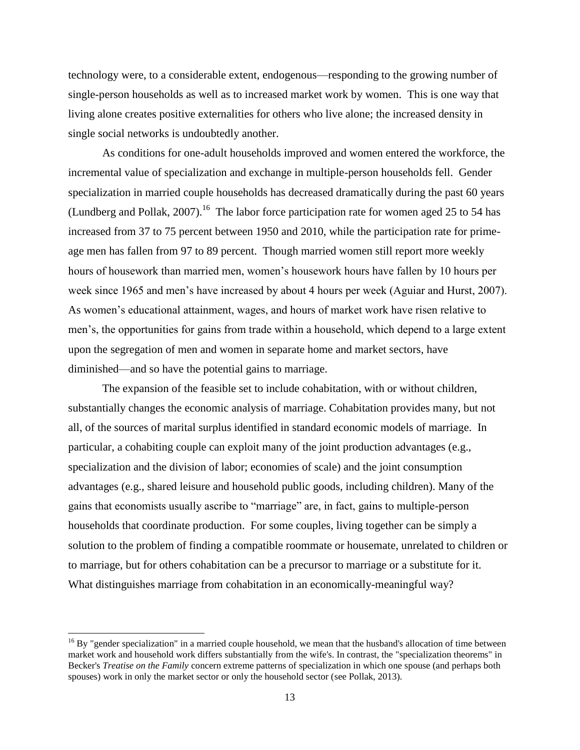technology were, to a considerable extent, endogenous—responding to the growing number of single-person households as well as to increased market work by women. This is one way that living alone creates positive externalities for others who live alone; the increased density in single social networks is undoubtedly another.

As conditions for one-adult households improved and women entered the workforce, the incremental value of specialization and exchange in multiple-person households fell. Gender specialization in married couple households has decreased dramatically during the past 60 years (Lundberg and Pollak, 2007).<sup>16</sup> The labor force participation rate for women aged 25 to 54 has increased from 37 to 75 percent between 1950 and 2010, while the participation rate for primeage men has fallen from 97 to 89 percent. Though married women still report more weekly hours of housework than married men, women's housework hours have fallen by 10 hours per week since 1965 and men's have increased by about 4 hours per week (Aguiar and Hurst, 2007). As women's educational attainment, wages, and hours of market work have risen relative to men's, the opportunities for gains from trade within a household, which depend to a large extent upon the segregation of men and women in separate home and market sectors, have diminished—and so have the potential gains to marriage.

The expansion of the feasible set to include cohabitation, with or without children, substantially changes the economic analysis of marriage. Cohabitation provides many, but not all, of the sources of marital surplus identified in standard economic models of marriage. In particular, a cohabiting couple can exploit many of the joint production advantages (e.g., specialization and the division of labor; economies of scale) and the joint consumption advantages (e.g., shared leisure and household public goods, including children). Many of the gains that economists usually ascribe to "marriage" are, in fact, gains to multiple-person households that coordinate production. For some couples, living together can be simply a solution to the problem of finding a compatible roommate or housemate, unrelated to children or to marriage, but for others cohabitation can be a precursor to marriage or a substitute for it. What distinguishes marriage from cohabitation in an economically-meaningful way?

 $^{16}$  By "gender specialization" in a married couple household, we mean that the husband's allocation of time between market work and household work differs substantially from the wife's. In contrast, the "specialization theorems" in Becker's *Treatise on the Family* concern extreme patterns of specialization in which one spouse (and perhaps both spouses) work in only the market sector or only the household sector (see Pollak, 2013).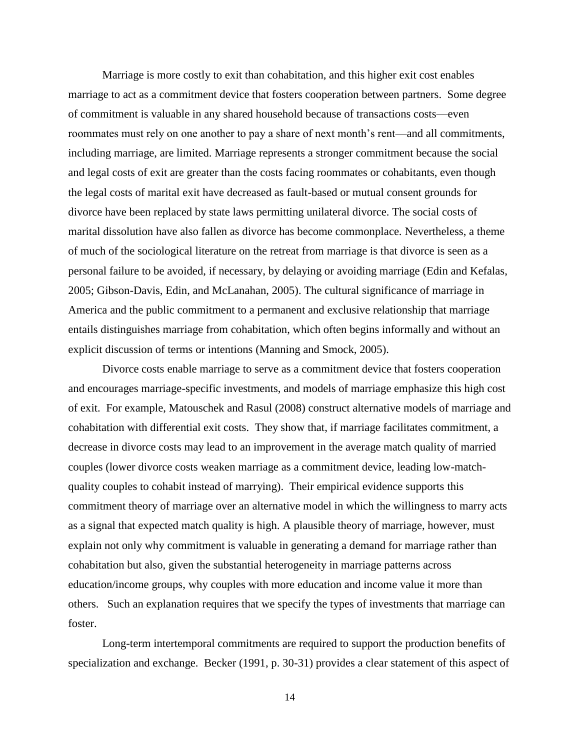Marriage is more costly to exit than cohabitation, and this higher exit cost enables marriage to act as a commitment device that fosters cooperation between partners. Some degree of commitment is valuable in any shared household because of transactions costs—even roommates must rely on one another to pay a share of next month's rent—and all commitments, including marriage, are limited. Marriage represents a stronger commitment because the social and legal costs of exit are greater than the costs facing roommates or cohabitants, even though the legal costs of marital exit have decreased as fault-based or mutual consent grounds for divorce have been replaced by state laws permitting unilateral divorce. The social costs of marital dissolution have also fallen as divorce has become commonplace. Nevertheless, a theme of much of the sociological literature on the retreat from marriage is that divorce is seen as a personal failure to be avoided, if necessary, by delaying or avoiding marriage (Edin and Kefalas, 2005; Gibson-Davis, Edin, and McLanahan, 2005). The cultural significance of marriage in America and the public commitment to a permanent and exclusive relationship that marriage entails distinguishes marriage from cohabitation, which often begins informally and without an explicit discussion of terms or intentions (Manning and Smock, 2005).

Divorce costs enable marriage to serve as a commitment device that fosters cooperation and encourages marriage-specific investments, and models of marriage emphasize this high cost of exit. For example, Matouschek and Rasul (2008) construct alternative models of marriage and cohabitation with differential exit costs. They show that, if marriage facilitates commitment, a decrease in divorce costs may lead to an improvement in the average match quality of married couples (lower divorce costs weaken marriage as a commitment device, leading low-matchquality couples to cohabit instead of marrying). Their empirical evidence supports this commitment theory of marriage over an alternative model in which the willingness to marry acts as a signal that expected match quality is high. A plausible theory of marriage, however, must explain not only why commitment is valuable in generating a demand for marriage rather than cohabitation but also, given the substantial heterogeneity in marriage patterns across education/income groups, why couples with more education and income value it more than others. Such an explanation requires that we specify the types of investments that marriage can foster.

Long-term intertemporal commitments are required to support the production benefits of specialization and exchange. Becker (1991, p. 30-31) provides a clear statement of this aspect of

14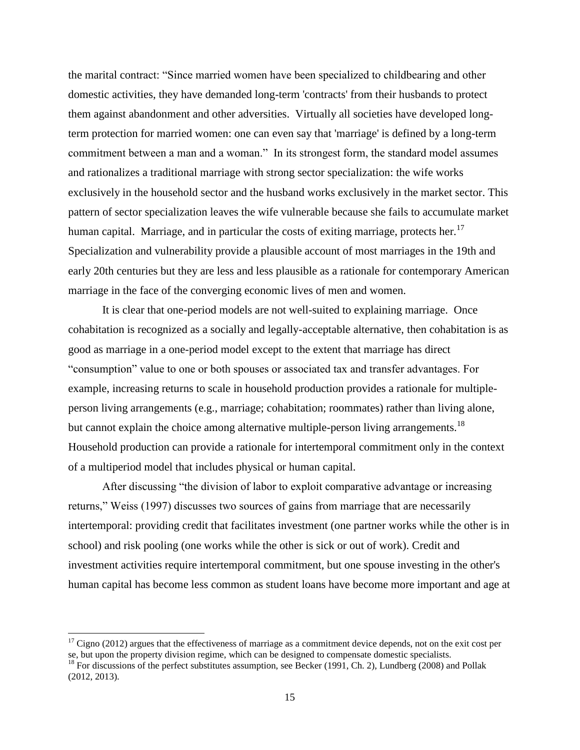the marital contract: "Since married women have been specialized to childbearing and other domestic activities, they have demanded long-term 'contracts' from their husbands to protect them against abandonment and other adversities. Virtually all societies have developed longterm protection for married women: one can even say that 'marriage' is defined by a long-term commitment between a man and a woman." In its strongest form, the standard model assumes and rationalizes a traditional marriage with strong sector specialization: the wife works exclusively in the household sector and the husband works exclusively in the market sector. This pattern of sector specialization leaves the wife vulnerable because she fails to accumulate market human capital. Marriage, and in particular the costs of exiting marriage, protects her.<sup>17</sup> Specialization and vulnerability provide a plausible account of most marriages in the 19th and early 20th centuries but they are less and less plausible as a rationale for contemporary American marriage in the face of the converging economic lives of men and women.

It is clear that one-period models are not well-suited to explaining marriage. Once cohabitation is recognized as a socially and legally-acceptable alternative, then cohabitation is as good as marriage in a one-period model except to the extent that marriage has direct "consumption" value to one or both spouses or associated tax and transfer advantages. For example, increasing returns to scale in household production provides a rationale for multipleperson living arrangements (e.g., marriage; cohabitation; roommates) rather than living alone, but cannot explain the choice among alternative multiple-person living arrangements.<sup>18</sup> Household production can provide a rationale for intertemporal commitment only in the context of a multiperiod model that includes physical or human capital.

After discussing "the division of labor to exploit comparative advantage or increasing returns," Weiss (1997) discusses two sources of gains from marriage that are necessarily intertemporal: providing credit that facilitates investment (one partner works while the other is in school) and risk pooling (one works while the other is sick or out of work). Credit and investment activities require intertemporal commitment, but one spouse investing in the other's human capital has become less common as student loans have become more important and age at

 $17$  Cigno (2012) argues that the effectiveness of marriage as a commitment device depends, not on the exit cost per se, but upon the property division regime, which can be designed to compensate domestic specialists.

<sup>&</sup>lt;sup>18</sup> For discussions of the perfect substitutes assumption, see Becker (1991, Ch. 2), Lundberg (2008) and Pollak (2012, 2013).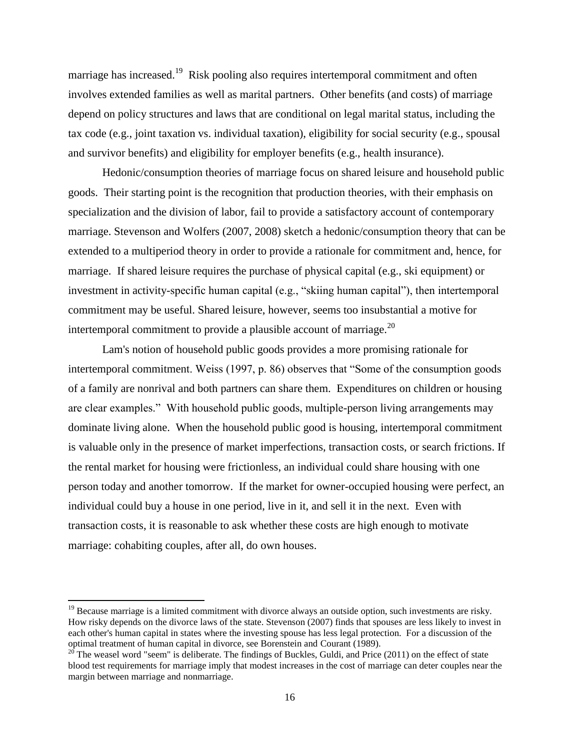marriage has increased.<sup>19</sup> Risk pooling also requires intertemporal commitment and often involves extended families as well as marital partners. Other benefits (and costs) of marriage depend on policy structures and laws that are conditional on legal marital status, including the tax code (e.g., joint taxation vs. individual taxation), eligibility for social security (e.g., spousal and survivor benefits) and eligibility for employer benefits (e.g., health insurance).

Hedonic/consumption theories of marriage focus on shared leisure and household public goods. Their starting point is the recognition that production theories, with their emphasis on specialization and the division of labor, fail to provide a satisfactory account of contemporary marriage. Stevenson and Wolfers (2007, 2008) sketch a hedonic/consumption theory that can be extended to a multiperiod theory in order to provide a rationale for commitment and, hence, for marriage. If shared leisure requires the purchase of physical capital (e.g., ski equipment) or investment in activity-specific human capital (e.g., "skiing human capital"), then intertemporal commitment may be useful. Shared leisure, however, seems too insubstantial a motive for intertemporal commitment to provide a plausible account of marriage. $^{20}$ 

Lam's notion of household public goods provides a more promising rationale for intertemporal commitment. Weiss (1997, p. 86) observes that "Some of the consumption goods of a family are nonrival and both partners can share them. Expenditures on children or housing are clear examples." With household public goods, multiple-person living arrangements may dominate living alone. When the household public good is housing, intertemporal commitment is valuable only in the presence of market imperfections, transaction costs, or search frictions. If the rental market for housing were frictionless, an individual could share housing with one person today and another tomorrow. If the market for owner-occupied housing were perfect, an individual could buy a house in one period, live in it, and sell it in the next. Even with transaction costs, it is reasonable to ask whether these costs are high enough to motivate marriage: cohabiting couples, after all, do own houses.

<sup>&</sup>lt;sup>19</sup> Because marriage is a limited commitment with divorce always an outside option, such investments are risky. How risky depends on the divorce laws of the state. Stevenson (2007) finds that spouses are less likely to invest in each other's human capital in states where the investing spouse has less legal protection. For a discussion of the optimal treatment of human capital in divorce, see Borenstein and Courant (1989).

 $20^{\circ}$  The weasel word "seem" is deliberate. The findings of Buckles, Guldi, and Price (2011) on the effect of state blood test requirements for marriage imply that modest increases in the cost of marriage can deter couples near the margin between marriage and nonmarriage.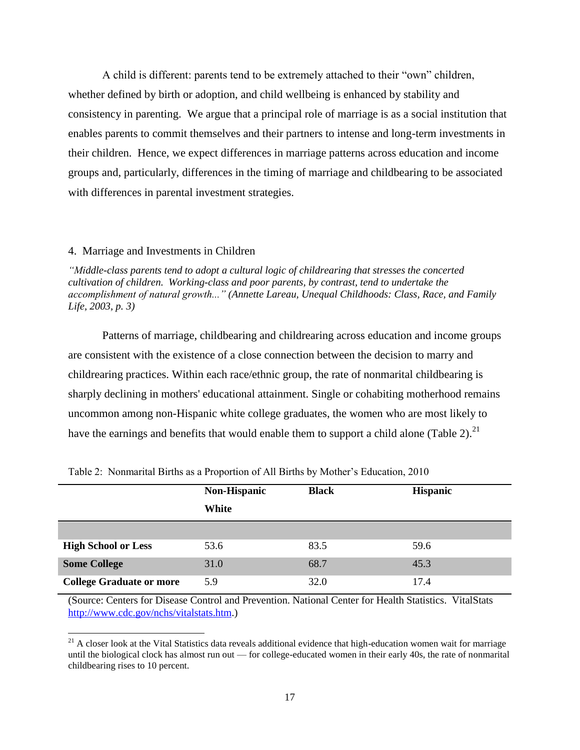A child is different: parents tend to be extremely attached to their "own" children, whether defined by birth or adoption, and child wellbeing is enhanced by stability and consistency in parenting. We argue that a principal role of marriage is as a social institution that enables parents to commit themselves and their partners to intense and long-term investments in their children. Hence, we expect differences in marriage patterns across education and income groups and, particularly, differences in the timing of marriage and childbearing to be associated with differences in parental investment strategies.

#### 4. Marriage and Investments in Children

 $\overline{\phantom{a}}$ 

*"Middle-class parents tend to adopt a cultural logic of childrearing that stresses the concerted cultivation of children. Working-class and poor parents, by contrast, tend to undertake the accomplishment of natural growth..." (Annette Lareau, Unequal Childhoods: Class, Race, and Family Life, 2003, p. 3)*

Patterns of marriage, childbearing and childrearing across education and income groups are consistent with the existence of a close connection between the decision to marry and childrearing practices. Within each race/ethnic group, the rate of nonmarital childbearing is sharply declining in mothers' educational attainment. Single or cohabiting motherhood remains uncommon among non-Hispanic white college graduates, the women who are most likely to have the earnings and benefits that would enable them to support a child alone (Table 2).<sup>21</sup>

|                                 | Non-Hispanic<br>White | <b>Black</b> | <b>Hispanic</b> |
|---------------------------------|-----------------------|--------------|-----------------|
| <b>High School or Less</b>      | 53.6                  | 83.5         | 59.6            |
| <b>Some College</b>             | 31.0                  | 68.7         | 45.3            |
| <b>College Graduate or more</b> | 5.9                   | 32.0         | 17.4            |

Table 2: Nonmarital Births as a Proportion of All Births by Mother's Education, 2010

(Source: Centers for Disease Control and Prevention. National Center for Health Statistics. VitalStats [http://www.cdc.gov/nchs/vitalstats.htm.](http://www.cdc.gov/nchs/vitalstats.htm))

 $21$  A closer look at the Vital Statistics data reveals additional evidence that high-education women wait for marriage until the biological clock has almost run out — for college-educated women in their early 40s, the rate of nonmarital childbearing rises to 10 percent.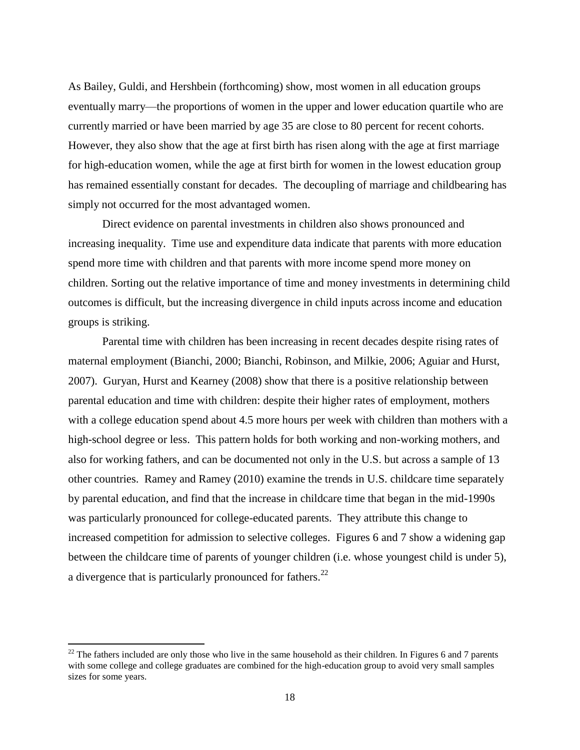As Bailey, Guldi, and Hershbein (forthcoming) show, most women in all education groups eventually marry—the proportions of women in the upper and lower education quartile who are currently married or have been married by age 35 are close to 80 percent for recent cohorts. However, they also show that the age at first birth has risen along with the age at first marriage for high-education women, while the age at first birth for women in the lowest education group has remained essentially constant for decades. The decoupling of marriage and childbearing has simply not occurred for the most advantaged women.

Direct evidence on parental investments in children also shows pronounced and increasing inequality. Time use and expenditure data indicate that parents with more education spend more time with children and that parents with more income spend more money on children. Sorting out the relative importance of time and money investments in determining child outcomes is difficult, but the increasing divergence in child inputs across income and education groups is striking.

Parental time with children has been increasing in recent decades despite rising rates of maternal employment (Bianchi, 2000; Bianchi, Robinson, and Milkie, 2006; Aguiar and Hurst, 2007). Guryan, Hurst and Kearney (2008) show that there is a positive relationship between parental education and time with children: despite their higher rates of employment, mothers with a college education spend about 4.5 more hours per week with children than mothers with a high-school degree or less. This pattern holds for both working and non-working mothers, and also for working fathers, and can be documented not only in the U.S. but across a sample of 13 other countries. Ramey and Ramey (2010) examine the trends in U.S. childcare time separately by parental education, and find that the increase in childcare time that began in the mid-1990s was particularly pronounced for college-educated parents. They attribute this change to increased competition for admission to selective colleges. Figures 6 and 7 show a widening gap between the childcare time of parents of younger children (i.e. whose youngest child is under 5), a divergence that is particularly pronounced for fathers.<sup>22</sup>

 $22$  The fathers included are only those who live in the same household as their children. In Figures 6 and 7 parents with some college and college graduates are combined for the high-education group to avoid very small samples sizes for some years.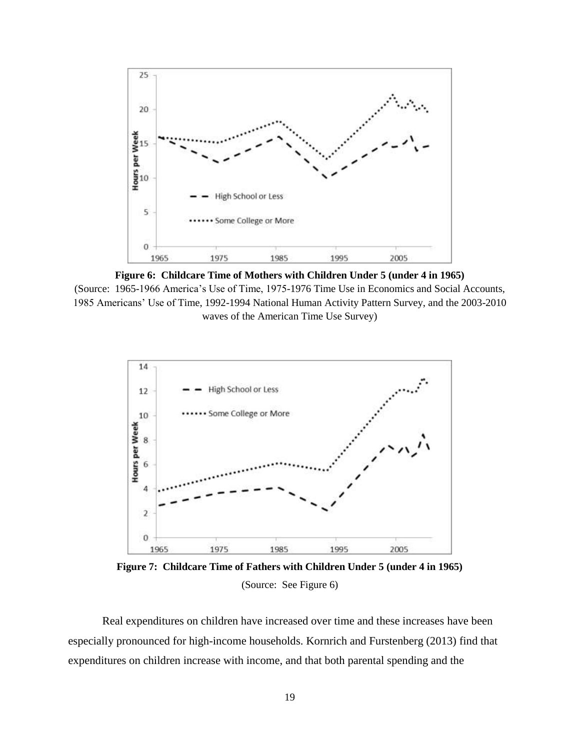

**Figure 6: Childcare Time of Mothers with Children Under 5 (under 4 in 1965)** (Source: 1965-1966 America's Use of Time, 1975-1976 Time Use in Economics and Social Accounts, 1985 Americans' Use of Time, 1992-1994 National Human Activity Pattern Survey, and the 2003-2010 waves of the American Time Use Survey)



**Figure 7: Childcare Time of Fathers with Children Under 5 (under 4 in 1965)** (Source: See Figure 6)

Real expenditures on children have increased over time and these increases have been especially pronounced for high-income households. Kornrich and Furstenberg (2013) find that expenditures on children increase with income, and that both parental spending and the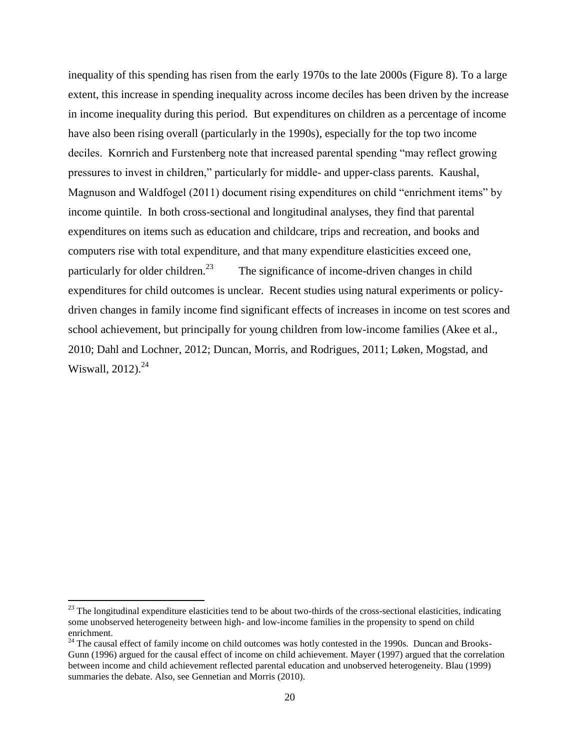inequality of this spending has risen from the early 1970s to the late 2000s (Figure 8). To a large extent, this increase in spending inequality across income deciles has been driven by the increase in income inequality during this period. But expenditures on children as a percentage of income have also been rising overall (particularly in the 1990s), especially for the top two income deciles. Kornrich and Furstenberg note that increased parental spending "may reflect growing pressures to invest in children," particularly for middle- and upper-class parents. Kaushal, Magnuson and Waldfogel (2011) document rising expenditures on child "enrichment items" by income quintile. In both cross-sectional and longitudinal analyses, they find that parental expenditures on items such as education and childcare, trips and recreation, and books and computers rise with total expenditure, and that many expenditure elasticities exceed one, particularly for older children.<sup>23</sup> The significance of income-driven changes in child expenditures for child outcomes is unclear. Recent studies using natural experiments or policydriven changes in family income find significant effects of increases in income on test scores and school achievement, but principally for young children from low-income families (Akee et al., 2010; Dahl and Lochner, 2012; Duncan, Morris, and Rodrigues, 2011; Løken, Mogstad, and Wiswall,  $2012$ ).<sup>24</sup>

 $^{23}$  The longitudinal expenditure elasticities tend to be about two-thirds of the cross-sectional elasticities, indicating some unobserved heterogeneity between high- and low-income families in the propensity to spend on child enrichment.

<sup>&</sup>lt;sup>24</sup> The causal effect of family income on child outcomes was hotly contested in the 1990s. Duncan and Brooks-Gunn (1996) argued for the causal effect of income on child achievement. Mayer (1997) argued that the correlation between income and child achievement reflected parental education and unobserved heterogeneity. Blau (1999) summaries the debate. Also, see Gennetian and Morris (2010).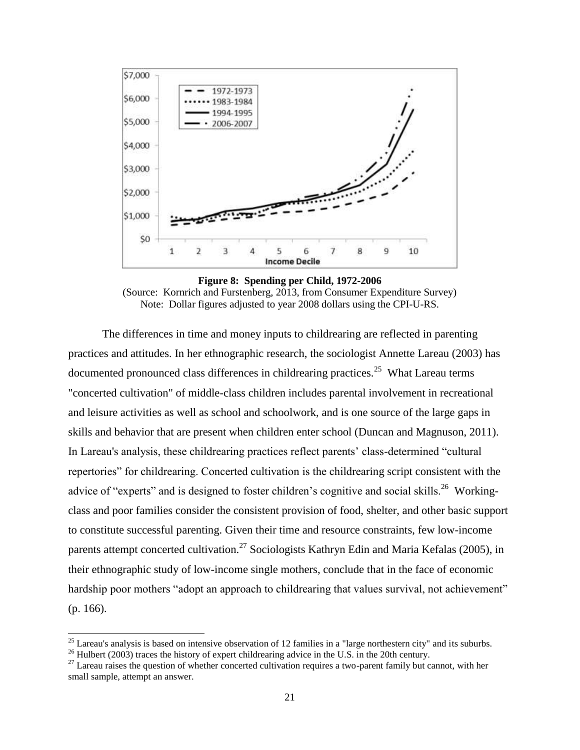

**Figure 8: Spending per Child, 1972-2006** (Source: Kornrich and Furstenberg, 2013, from Consumer Expenditure Survey) Note: Dollar figures adjusted to year 2008 dollars using the CPI-U-RS.

The differences in time and money inputs to childrearing are reflected in parenting practices and attitudes. In her ethnographic research, the sociologist Annette Lareau (2003) has documented pronounced class differences in childrearing practices.<sup>25</sup> What Lareau terms "concerted cultivation" of middle-class children includes parental involvement in recreational and leisure activities as well as school and schoolwork, and is one source of the large gaps in skills and behavior that are present when children enter school (Duncan and Magnuson, 2011). In Lareau's analysis, these childrearing practices reflect parents' class-determined "cultural repertories" for childrearing. Concerted cultivation is the childrearing script consistent with the advice of "experts" and is designed to foster children's cognitive and social skills.<sup>26</sup> Workingclass and poor families consider the consistent provision of food, shelter, and other basic support to constitute successful parenting. Given their time and resource constraints, few low-income parents attempt concerted cultivation.<sup>27</sup> Sociologists Kathryn Edin and Maria Kefalas (2005), in their ethnographic study of low-income single mothers, conclude that in the face of economic hardship poor mothers "adopt an approach to childrearing that values survival, not achievement" (p. 166).

 $^{25}$  Lareau's analysis is based on intensive observation of 12 families in a "large northestern city" and its suburbs.

 $^{26}$  Hulbert (2003) traces the history of expert childrearing advice in the U.S. in the 20th century.

 $27$  Lareau raises the question of whether concerted cultivation requires a two-parent family but cannot, with her small sample, attempt an answer.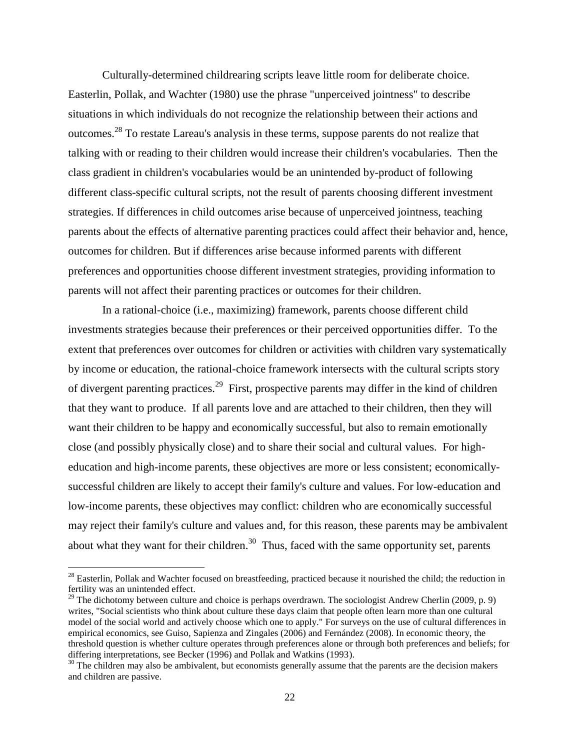Culturally-determined childrearing scripts leave little room for deliberate choice. Easterlin, Pollak, and Wachter (1980) use the phrase "unperceived jointness" to describe situations in which individuals do not recognize the relationship between their actions and outcomes.<sup>28</sup> To restate Lareau's analysis in these terms, suppose parents do not realize that talking with or reading to their children would increase their children's vocabularies. Then the class gradient in children's vocabularies would be an unintended by-product of following different class-specific cultural scripts, not the result of parents choosing different investment strategies. If differences in child outcomes arise because of unperceived jointness, teaching parents about the effects of alternative parenting practices could affect their behavior and, hence, outcomes for children. But if differences arise because informed parents with different preferences and opportunities choose different investment strategies, providing information to parents will not affect their parenting practices or outcomes for their children.

In a rational-choice (i.e., maximizing) framework, parents choose different child investments strategies because their preferences or their perceived opportunities differ. To the extent that preferences over outcomes for children or activities with children vary systematically by income or education, the rational-choice framework intersects with the cultural scripts story of divergent parenting practices.<sup>29</sup> First, prospective parents may differ in the kind of children that they want to produce. If all parents love and are attached to their children, then they will want their children to be happy and economically successful, but also to remain emotionally close (and possibly physically close) and to share their social and cultural values. For higheducation and high-income parents, these objectives are more or less consistent; economicallysuccessful children are likely to accept their family's culture and values. For low-education and low-income parents, these objectives may conflict: children who are economically successful may reject their family's culture and values and, for this reason, these parents may be ambivalent about what they want for their children.<sup>30</sup> Thus, faced with the same opportunity set, parents

 $^{28}$  Easterlin, Pollak and Wachter focused on breastfeeding, practiced because it nourished the child; the reduction in fertility was an unintended effect.

<sup>&</sup>lt;sup>29</sup> The dichotomy between culture and choice is perhaps overdrawn. The sociologist Andrew Cherlin (2009, p. 9) writes, "Social scientists who think about culture these days claim that people often learn more than one cultural model of the social world and actively choose which one to apply." For surveys on the use of cultural differences in empirical economics, see Guiso, Sapienza and Zingales (2006) and Fernández (2008). In economic theory, the threshold question is whether culture operates through preferences alone or through both preferences and beliefs; for differing interpretations, see Becker (1996) and Pollak and Watkins (1993).

<sup>&</sup>lt;sup>30</sup> The children may also be ambivalent, but economists generally assume that the parents are the decision makers and children are passive.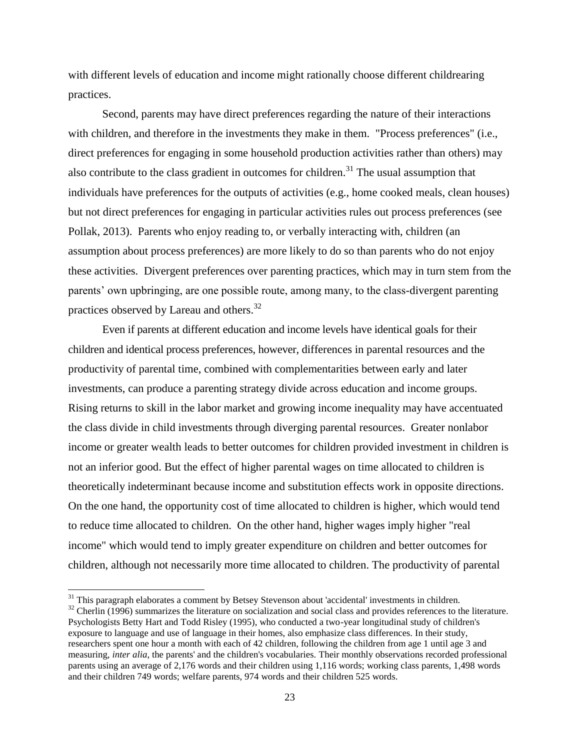with different levels of education and income might rationally choose different childrearing practices.

Second, parents may have direct preferences regarding the nature of their interactions with children, and therefore in the investments they make in them. "Process preferences" (i.e., direct preferences for engaging in some household production activities rather than others) may also contribute to the class gradient in outcomes for children.<sup>31</sup> The usual assumption that individuals have preferences for the outputs of activities (e.g., home cooked meals, clean houses) but not direct preferences for engaging in particular activities rules out process preferences (see Pollak, 2013). Parents who enjoy reading to, or verbally interacting with, children (an assumption about process preferences) are more likely to do so than parents who do not enjoy these activities. Divergent preferences over parenting practices, which may in turn stem from the parents' own upbringing, are one possible route, among many, to the class-divergent parenting practices observed by Lareau and others.<sup>32</sup>

Even if parents at different education and income levels have identical goals for their children and identical process preferences, however, differences in parental resources and the productivity of parental time, combined with complementarities between early and later investments, can produce a parenting strategy divide across education and income groups. Rising returns to skill in the labor market and growing income inequality may have accentuated the class divide in child investments through diverging parental resources. Greater nonlabor income or greater wealth leads to better outcomes for children provided investment in children is not an inferior good. But the effect of higher parental wages on time allocated to children is theoretically indeterminant because income and substitution effects work in opposite directions. On the one hand, the opportunity cost of time allocated to children is higher, which would tend to reduce time allocated to children. On the other hand, higher wages imply higher "real income" which would tend to imply greater expenditure on children and better outcomes for children, although not necessarily more time allocated to children. The productivity of parental

 $\overline{a}$ 

<sup>&</sup>lt;sup>31</sup> This paragraph elaborates a comment by Betsey Stevenson about 'accidental' investments in children.

 $32$  Cherlin (1996) summarizes the literature on socialization and social class and provides references to the literature. Psychologists Betty Hart and Todd Risley (1995), who conducted a two-year longitudinal study of children's exposure to language and use of language in their homes, also emphasize class differences. In their study, researchers spent one hour a month with each of 42 children, following the children from age 1 until age 3 and measuring, *inter alia*, the parents' and the children's vocabularies. Their monthly observations recorded professional parents using an average of 2,176 words and their children using 1,116 words; working class parents, 1,498 words and their children 749 words; welfare parents, 974 words and their children 525 words.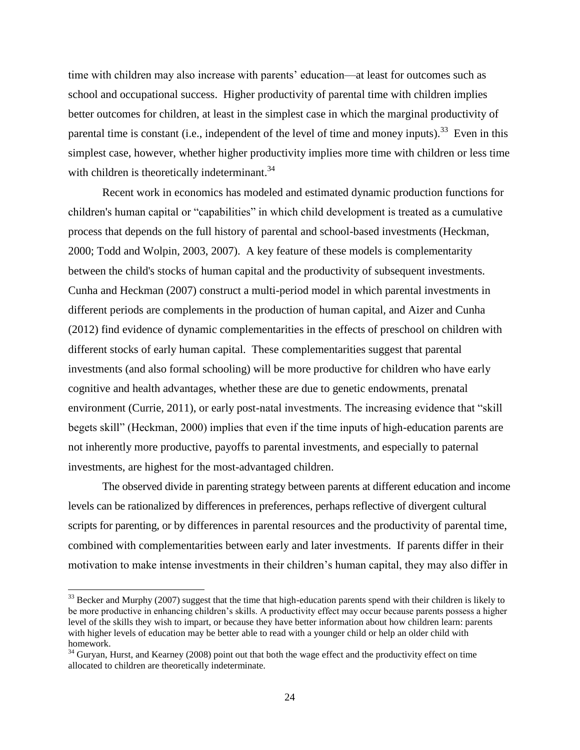time with children may also increase with parents' education—at least for outcomes such as school and occupational success. Higher productivity of parental time with children implies better outcomes for children, at least in the simplest case in which the marginal productivity of parental time is constant (i.e., independent of the level of time and money inputs).<sup>33</sup> Even in this simplest case, however, whether higher productivity implies more time with children or less time with children is theoretically indeterminant.<sup>34</sup>

Recent work in economics has modeled and estimated dynamic production functions for children's human capital or "capabilities" in which child development is treated as a cumulative process that depends on the full history of parental and school-based investments (Heckman, 2000; Todd and Wolpin, 2003, 2007). A key feature of these models is complementarity between the child's stocks of human capital and the productivity of subsequent investments. Cunha and Heckman (2007) construct a multi-period model in which parental investments in different periods are complements in the production of human capital, and Aizer and Cunha (2012) find evidence of dynamic complementarities in the effects of preschool on children with different stocks of early human capital. These complementarities suggest that parental investments (and also formal schooling) will be more productive for children who have early cognitive and health advantages, whether these are due to genetic endowments, prenatal environment (Currie, 2011), or early post-natal investments. The increasing evidence that "skill begets skill" (Heckman, 2000) implies that even if the time inputs of high-education parents are not inherently more productive, payoffs to parental investments, and especially to paternal investments, are highest for the most-advantaged children.

The observed divide in parenting strategy between parents at different education and income levels can be rationalized by differences in preferences, perhaps reflective of divergent cultural scripts for parenting, or by differences in parental resources and the productivity of parental time, combined with complementarities between early and later investments. If parents differ in their motivation to make intense investments in their children's human capital, they may also differ in

 $\overline{a}$ 

 $33$  Becker and Murphy (2007) suggest that the time that high-education parents spend with their children is likely to be more productive in enhancing children's skills. A productivity effect may occur because parents possess a higher level of the skills they wish to impart, or because they have better information about how children learn: parents with higher levels of education may be better able to read with a younger child or help an older child with homework.

 $34$  Guryan, Hurst, and Kearney (2008) point out that both the wage effect and the productivity effect on time allocated to children are theoretically indeterminate.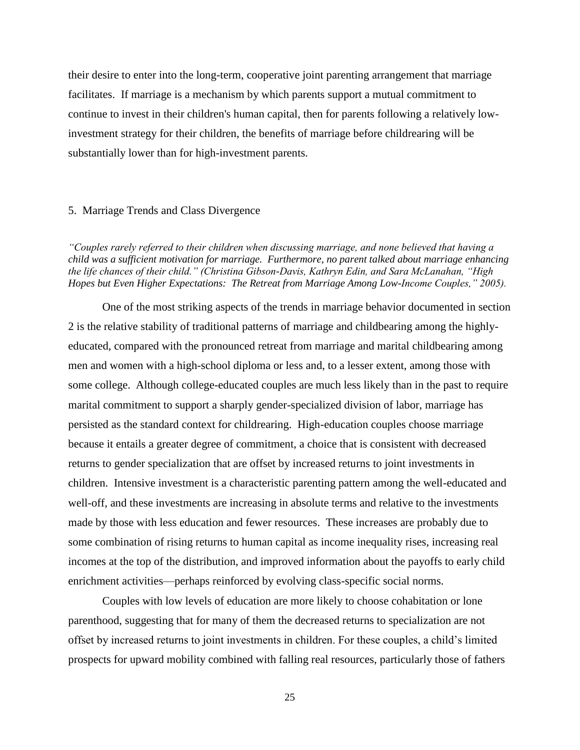their desire to enter into the long-term, cooperative joint parenting arrangement that marriage facilitates. If marriage is a mechanism by which parents support a mutual commitment to continue to invest in their children's human capital, then for parents following a relatively lowinvestment strategy for their children, the benefits of marriage before childrearing will be substantially lower than for high-investment parents.

#### 5. Marriage Trends and Class Divergence

*"Couples rarely referred to their children when discussing marriage, and none believed that having a child was a sufficient motivation for marriage. Furthermore, no parent talked about marriage enhancing the life chances of their child." (Christina Gibson-Davis, Kathryn Edin, and Sara McLanahan, "High Hopes but Even Higher Expectations: The Retreat from Marriage Among Low-Income Couples," 2005).*

One of the most striking aspects of the trends in marriage behavior documented in section 2 is the relative stability of traditional patterns of marriage and childbearing among the highlyeducated, compared with the pronounced retreat from marriage and marital childbearing among men and women with a high-school diploma or less and, to a lesser extent, among those with some college. Although college-educated couples are much less likely than in the past to require marital commitment to support a sharply gender-specialized division of labor, marriage has persisted as the standard context for childrearing. High-education couples choose marriage because it entails a greater degree of commitment, a choice that is consistent with decreased returns to gender specialization that are offset by increased returns to joint investments in children. Intensive investment is a characteristic parenting pattern among the well-educated and well-off, and these investments are increasing in absolute terms and relative to the investments made by those with less education and fewer resources. These increases are probably due to some combination of rising returns to human capital as income inequality rises, increasing real incomes at the top of the distribution, and improved information about the payoffs to early child enrichment activities—perhaps reinforced by evolving class-specific social norms.

Couples with low levels of education are more likely to choose cohabitation or lone parenthood, suggesting that for many of them the decreased returns to specialization are not offset by increased returns to joint investments in children. For these couples, a child's limited prospects for upward mobility combined with falling real resources, particularly those of fathers

25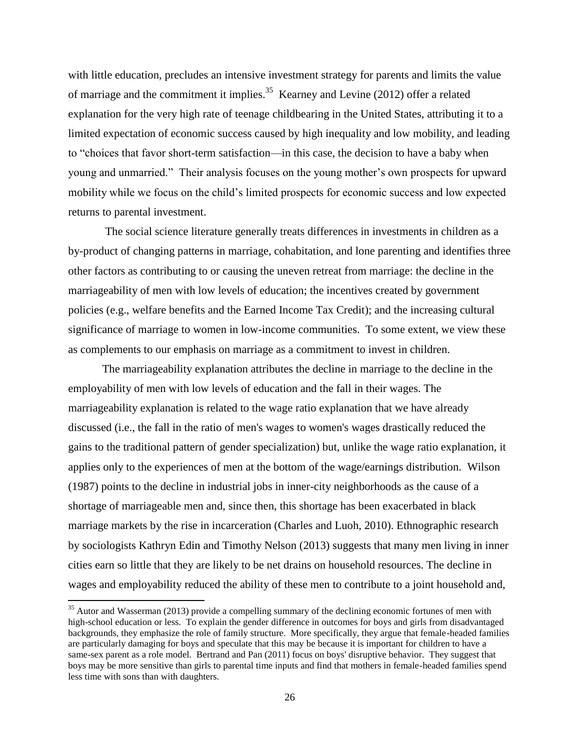with little education, precludes an intensive investment strategy for parents and limits the value of marriage and the commitment it implies.<sup>35</sup> Kearney and Levine (2012) offer a related explanation for the very high rate of teenage childbearing in the United States, attributing it to a limited expectation of economic success caused by high inequality and low mobility, and leading to "choices that favor short-term satisfaction—in this case, the decision to have a baby when young and unmarried." Their analysis focuses on the young mother's own prospects for upward mobility while we focus on the child's limited prospects for economic success and low expected returns to parental investment.

The social science literature generally treats differences in investments in children as a by-product of changing patterns in marriage, cohabitation, and lone parenting and identifies three other factors as contributing to or causing the uneven retreat from marriage: the decline in the marriageability of men with low levels of education; the incentives created by government policies (e.g., welfare benefits and the Earned Income Tax Credit); and the increasing cultural significance of marriage to women in low-income communities. To some extent, we view these as complements to our emphasis on marriage as a commitment to invest in children.

The marriageability explanation attributes the decline in marriage to the decline in the employability of men with low levels of education and the fall in their wages. The marriageability explanation is related to the wage ratio explanation that we have already discussed (i.e., the fall in the ratio of men's wages to women's wages drastically reduced the gains to the traditional pattern of gender specialization) but, unlike the wage ratio explanation, it applies only to the experiences of men at the bottom of the wage/earnings distribution. Wilson (1987) points to the decline in industrial jobs in inner-city neighborhoods as the cause of a shortage of marriageable men and, since then, this shortage has been exacerbated in black marriage markets by the rise in incarceration (Charles and Luoh, 2010). Ethnographic research by sociologists Kathryn Edin and Timothy Nelson (2013) suggests that many men living in inner cities earn so little that they are likely to be net drains on household resources. The decline in wages and employability reduced the ability of these men to contribute to a joint household and,

 $35$  Autor and Wasserman (2013) provide a compelling summary of the declining economic fortunes of men with high-school education or less. To explain the gender difference in outcomes for boys and girls from disadvantaged backgrounds, they emphasize the role of family structure. More specifically, they argue that female-headed families are particularly damaging for boys and speculate that this may be because it is important for children to have a same-sex parent as a role model. Bertrand and Pan (2011) focus on boys' disruptive behavior. They suggest that boys may be more sensitive than girls to parental time inputs and find that mothers in female-headed families spend less time with sons than with daughters.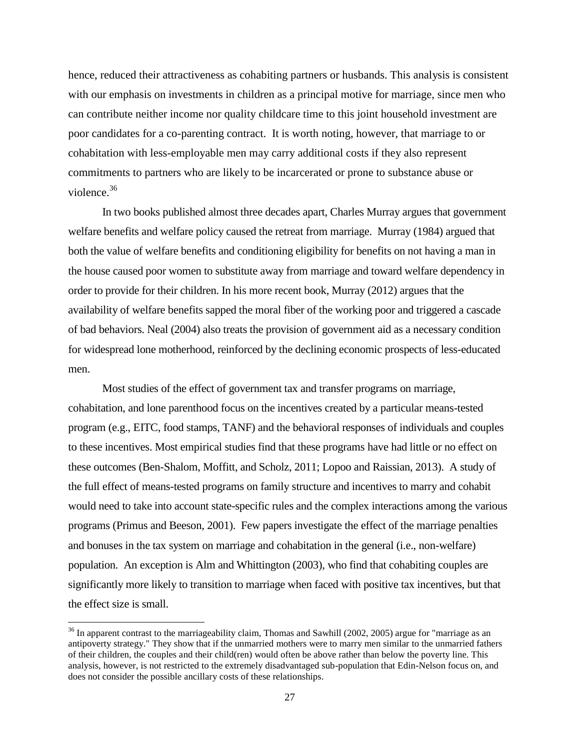hence, reduced their attractiveness as cohabiting partners or husbands. This analysis is consistent with our emphasis on investments in children as a principal motive for marriage, since men who can contribute neither income nor quality childcare time to this joint household investment are poor candidates for a co-parenting contract. It is worth noting, however, that marriage to or cohabitation with less-employable men may carry additional costs if they also represent commitments to partners who are likely to be incarcerated or prone to substance abuse or violence.<sup>36</sup>

In two books published almost three decades apart, Charles Murray argues that government welfare benefits and welfare policy caused the retreat from marriage. Murray (1984) argued that both the value of welfare benefits and conditioning eligibility for benefits on not having a man in the house caused poor women to substitute away from marriage and toward welfare dependency in order to provide for their children. In his more recent book, Murray (2012) argues that the availability of welfare benefits sapped the moral fiber of the working poor and triggered a cascade of bad behaviors. Neal (2004) also treats the provision of government aid as a necessary condition for widespread lone motherhood, reinforced by the declining economic prospects of less-educated men.

Most studies of the effect of government tax and transfer programs on marriage, cohabitation, and lone parenthood focus on the incentives created by a particular means-tested program (e.g., EITC, food stamps, TANF) and the behavioral responses of individuals and couples to these incentives. Most empirical studies find that these programs have had little or no effect on these outcomes (Ben-Shalom, Moffitt, and Scholz, 2011; Lopoo and Raissian, 2013). A study of the full effect of means-tested programs on family structure and incentives to marry and cohabit would need to take into account state-specific rules and the complex interactions among the various programs (Primus and Beeson, 2001). Few papers investigate the effect of the marriage penalties and bonuses in the tax system on marriage and cohabitation in the general (i.e., non-welfare) population. An exception is Alm and Whittington (2003), who find that cohabiting couples are significantly more likely to transition to marriage when faced with positive tax incentives, but that the effect size is small.

 $\overline{a}$ 

 $36$  In apparent contrast to the marriageability claim, Thomas and Sawhill (2002, 2005) argue for "marriage as an antipoverty strategy." They show that if the unmarried mothers were to marry men similar to the unmarried fathers of their children, the couples and their child(ren) would often be above rather than below the poverty line. This analysis, however, is not restricted to the extremely disadvantaged sub-population that Edin-Nelson focus on, and does not consider the possible ancillary costs of these relationships.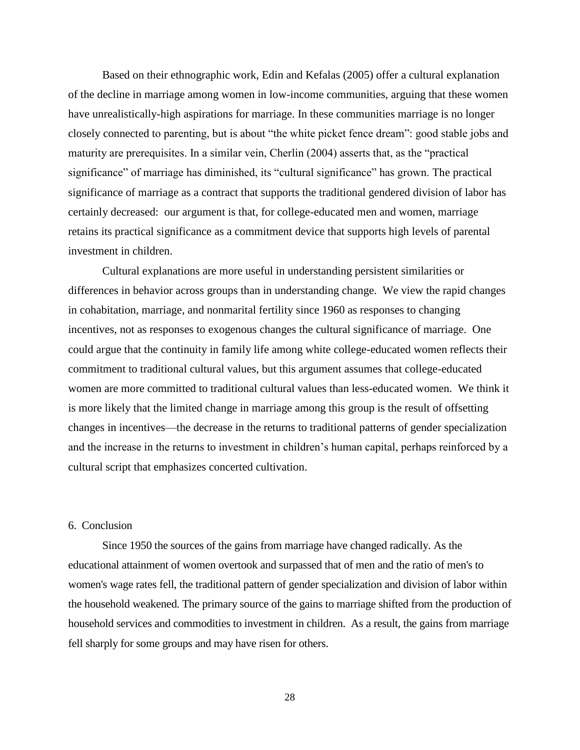Based on their ethnographic work, Edin and Kefalas (2005) offer a cultural explanation of the decline in marriage among women in low-income communities, arguing that these women have unrealistically-high aspirations for marriage. In these communities marriage is no longer closely connected to parenting, but is about "the white picket fence dream": good stable jobs and maturity are prerequisites. In a similar vein, Cherlin (2004) asserts that, as the "practical significance" of marriage has diminished, its "cultural significance" has grown. The practical significance of marriage as a contract that supports the traditional gendered division of labor has certainly decreased: our argument is that, for college-educated men and women, marriage retains its practical significance as a commitment device that supports high levels of parental investment in children.

Cultural explanations are more useful in understanding persistent similarities or differences in behavior across groups than in understanding change. We view the rapid changes in cohabitation, marriage, and nonmarital fertility since 1960 as responses to changing incentives, not as responses to exogenous changes the cultural significance of marriage. One could argue that the continuity in family life among white college-educated women reflects their commitment to traditional cultural values, but this argument assumes that college-educated women are more committed to traditional cultural values than less-educated women. We think it is more likely that the limited change in marriage among this group is the result of offsetting changes in incentives—the decrease in the returns to traditional patterns of gender specialization and the increase in the returns to investment in children's human capital, perhaps reinforced by a cultural script that emphasizes concerted cultivation.

# 6. Conclusion

Since 1950 the sources of the gains from marriage have changed radically. As the educational attainment of women overtook and surpassed that of men and the ratio of men's to women's wage rates fell, the traditional pattern of gender specialization and division of labor within the household weakened. The primary source of the gains to marriage shifted from the production of household services and commodities to investment in children. As a result, the gains from marriage fell sharply for some groups and may have risen for others.

28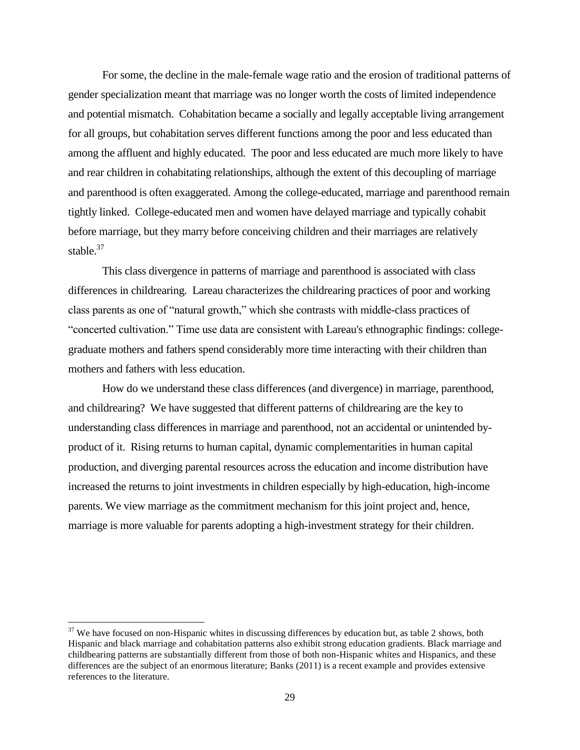For some, the decline in the male-female wage ratio and the erosion of traditional patterns of gender specialization meant that marriage was no longer worth the costs of limited independence and potential mismatch. Cohabitation became a socially and legally acceptable living arrangement for all groups, but cohabitation serves different functions among the poor and less educated than among the affluent and highly educated. The poor and less educated are much more likely to have and rear children in cohabitating relationships, although the extent of this decoupling of marriage and parenthood is often exaggerated. Among the college-educated, marriage and parenthood remain tightly linked. College-educated men and women have delayed marriage and typically cohabit before marriage, but they marry before conceiving children and their marriages are relatively stable. $37$ 

This class divergence in patterns of marriage and parenthood is associated with class differences in childrearing. Lareau characterizes the childrearing practices of poor and working class parents as one of "natural growth," which she contrasts with middle-class practices of "concerted cultivation." Time use data are consistent with Lareau's ethnographic findings: collegegraduate mothers and fathers spend considerably more time interacting with their children than mothers and fathers with less education.

How do we understand these class differences (and divergence) in marriage, parenthood, and childrearing? We have suggested that different patterns of childrearing are the key to understanding class differences in marriage and parenthood, not an accidental or unintended byproduct of it. Rising returns to human capital, dynamic complementarities in human capital production, and diverging parental resources across the education and income distribution have increased the returns to joint investments in children especially by high-education, high-income parents. We view marriage as the commitment mechanism for this joint project and, hence, marriage is more valuable for parents adopting a high-investment strategy for their children.

 $\overline{a}$ 

 $37$  We have focused on non-Hispanic whites in discussing differences by education but, as table 2 shows, both Hispanic and black marriage and cohabitation patterns also exhibit strong education gradients. Black marriage and childbearing patterns are substantially different from those of both non-Hispanic whites and Hispanics, and these differences are the subject of an enormous literature; Banks (2011) is a recent example and provides extensive references to the literature.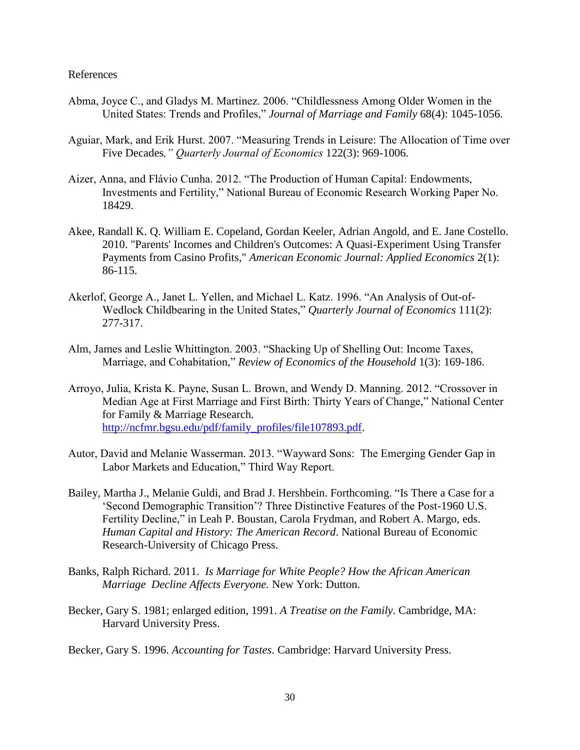#### References

- Abma, Joyce C., and Gladys M. Martinez. 2006. "Childlessness Among Older Women in the United States: Trends and Profiles," *Journal of Marriage and Family* 68(4): 1045-1056.
- Aguiar, Mark, and Erik Hurst. 2007. "Measuring Trends in Leisure: The Allocation of Time over Five Decades*," Quarterly Journal of Economics* 122(3): 969-1006.
- Aizer, Anna, and Flávio Cunha. 2012. "The Production of Human Capital: Endowments, Investments and Fertility," National Bureau of Economic Research Working Paper No. 18429.
- Akee, Randall K. Q. William E. Copeland, Gordan Keeler, Adrian Angold, and E. Jane Costello. 2010. "Parents' Incomes and Children's Outcomes: A Quasi-Experiment Using Transfer Payments from Casino Profits," *American Economic Journal: Applied Economics* 2(1): 86-115.
- Akerlof, George A., Janet L. Yellen, and Michael L. Katz. 1996. "An Analysis of Out-of-Wedlock Childbearing in the United States," *Quarterly Journal of Economics* 111(2): 277-317.
- Alm, James and Leslie Whittington. 2003. "Shacking Up of Shelling Out: Income Taxes, Marriage, and Cohabitation," *Review of Economics of the Household* 1(3): 169-186.
- Arroyo, Julia, Krista K. Payne, Susan L. Brown, and Wendy D. Manning. 2012. "Crossover in Median Age at First Marriage and First Birth: Thirty Years of Change," National Center for Family & Marriage Research. [http://ncfmr.bgsu.edu/pdf/family\\_profiles/file107893.pdf.](http://ncfmr.bgsu.edu/pdf/family_profiles/file107893.pdf)
- Autor, David and Melanie Wasserman. 2013. "Wayward Sons: The Emerging Gender Gap in Labor Markets and Education," Third Way Report.
- Bailey, Martha J., Melanie Guldi, and Brad J. Hershbein. Forthcoming. "Is There a Case for a 'Second Demographic Transition'? Three Distinctive Features of the Post-1960 U.S. Fertility Decline," in Leah P. Boustan, Carola Frydman, and Robert A. Margo, eds. *Human Capital and History: The American Record*. National Bureau of Economic Research-University of Chicago Press.
- Banks, Ralph Richard. 2011. *Is Marriage for White People? How the African American Marriage Decline Affects Everyone.* New York: Dutton.
- Becker, Gary S. 1981; enlarged edition, 1991. *A Treatise on the Family*. Cambridge, MA: Harvard University Press.
- Becker, Gary S. 1996. *Accounting for Tastes*. Cambridge: Harvard University Press.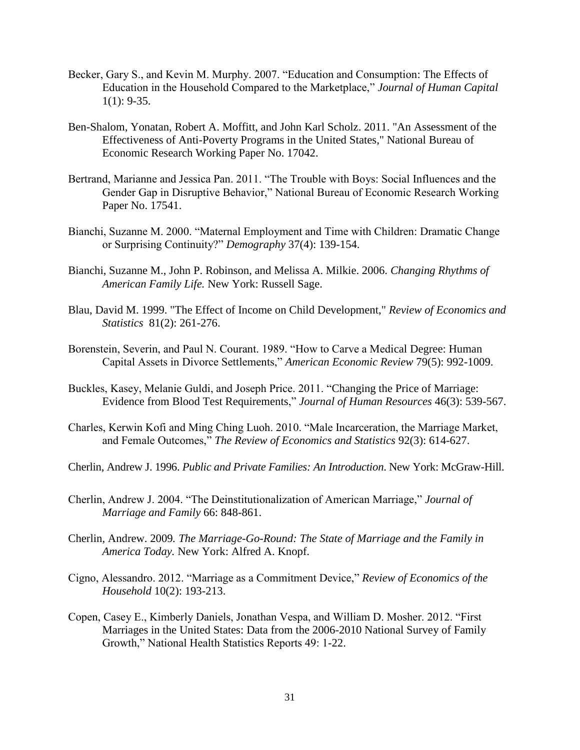- Becker, Gary S., and Kevin M. Murphy. 2007. "Education and Consumption: The Effects of Education in the Household Compared to the Marketplace," *Journal of Human Capital*  $1(1)$ : 9-35.
- Ben-Shalom, Yonatan, Robert A. Moffitt, and John Karl Scholz. 2011. "An Assessment of the Effectiveness of Anti-Poverty Programs in the United States," National Bureau of Economic Research Working Paper No. 17042.
- Bertrand, Marianne and Jessica Pan. 2011. "The Trouble with Boys: Social Influences and the Gender Gap in Disruptive Behavior," National Bureau of Economic Research Working Paper No. 17541.
- Bianchi, Suzanne M. 2000. "Maternal Employment and Time with Children: Dramatic Change or Surprising Continuity?" *Demography* 37(4): 139-154.
- Bianchi, Suzanne M., John P. Robinson, and Melissa A. Milkie. 2006. *Changing Rhythms of American Family Life.* New York: Russell Sage.
- Blau, David M. 1999. "The Effect of Income on Child Development," *Review of Economics and Statistics* 81(2): 261-276.
- Borenstein, Severin, and Paul N. Courant. 1989. "How to Carve a Medical Degree: Human Capital Assets in Divorce Settlements," *American Economic Review* 79(5): 992-1009.
- Buckles, Kasey, Melanie Guldi, and Joseph Price. 2011. "Changing the Price of Marriage: Evidence from Blood Test Requirements," *Journal of Human Resources* 46(3): 539-567.
- Charles, Kerwin Kofi and Ming Ching Luoh. 2010. "Male Incarceration, the Marriage Market, and Female Outcomes," *The Review of Economics and Statistics* 92(3): 614-627.
- Cherlin, Andrew J. 1996. *Public and Private Families: An Introduction*. New York: McGraw-Hill.
- Cherlin, Andrew J. 2004. "The Deinstitutionalization of American Marriage," *Journal of Marriage and Family* 66: 848-861.
- Cherlin, Andrew. 2009*. The Marriage-Go-Round: The State of Marriage and the Family in America Today.* New York: Alfred A. Knopf.
- Cigno, Alessandro. 2012. "Marriage as a Commitment Device," *Review of Economics of the Household* 10(2): 193-213.
- Copen, Casey E., Kimberly Daniels, Jonathan Vespa, and William D. Mosher. 2012. "First Marriages in the United States: Data from the 2006-2010 National Survey of Family Growth," National Health Statistics Reports 49: 1-22.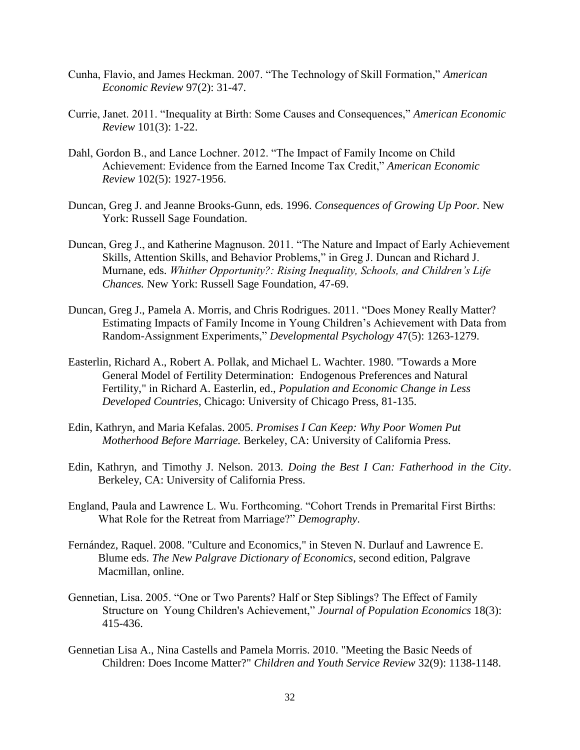- Cunha, Flavio, and James Heckman. 2007. "The Technology of Skill Formation," *American Economic Review* 97(2): 31-47.
- Currie, Janet. 2011. "Inequality at Birth: Some Causes and Consequences," *American Economic Review* 101(3): 1-22.
- Dahl, Gordon B., and Lance Lochner. 2012. "The Impact of Family Income on Child Achievement: Evidence from the Earned Income Tax Credit," *American Economic Review* 102(5): 1927-1956.
- Duncan, Greg J. and Jeanne Brooks-Gunn, eds. 1996. *Consequences of Growing Up Poor.* New York: Russell Sage Foundation.
- Duncan, Greg J., and Katherine Magnuson. 2011. "The Nature and Impact of Early Achievement Skills, Attention Skills, and Behavior Problems," in Greg J. Duncan and Richard J. Murnane, eds. *Whither Opportunity?: Rising Inequality, Schools, and Children's Life Chances.* New York: Russell Sage Foundation, 47-69.
- Duncan, Greg J., Pamela A. Morris, and Chris Rodrigues. 2011. "Does Money Really Matter? Estimating Impacts of Family Income in Young Children's Achievement with Data from Random-Assignment Experiments," *Developmental Psychology* 47(5): 1263-1279.
- Easterlin, Richard A., Robert A. Pollak, and Michael L. Wachter. 1980. "Towards a More General Model of Fertility Determination: Endogenous Preferences and Natural Fertility," in Richard A. Easterlin, ed., *Population and Economic Change in Less Developed Countries*, Chicago: University of Chicago Press, 81-135.
- Edin, Kathryn, and Maria Kefalas. 2005. *Promises I Can Keep: Why Poor Women Put Motherhood Before Marriage.* Berkeley, CA: University of California Press.
- Edin, Kathryn, and Timothy J. Nelson. 2013. *Doing the Best I Can: Fatherhood in the City*. Berkeley, CA: University of California Press.
- England, Paula and Lawrence L. Wu. Forthcoming. "Cohort Trends in Premarital First Births: What Role for the Retreat from Marriage?" *Demography*.
- Fernández, Raquel. 2008. "Culture and Economics," in Steven N. Durlauf and Lawrence E. Blume eds. *The New Palgrave Dictionary of Economics*, second edition, Palgrave Macmillan, online.
- Gennetian, Lisa. 2005. "One or Two Parents? Half or Step Siblings? The Effect of Family Structure on Young Children's Achievement," *Journal of Population Economics* 18(3): 415-436.
- Gennetian Lisa A., Nina Castells and Pamela Morris. 2010. "Meeting the Basic Needs of Children: Does Income Matter?" *Children and Youth Service Review* 32(9): 1138-1148.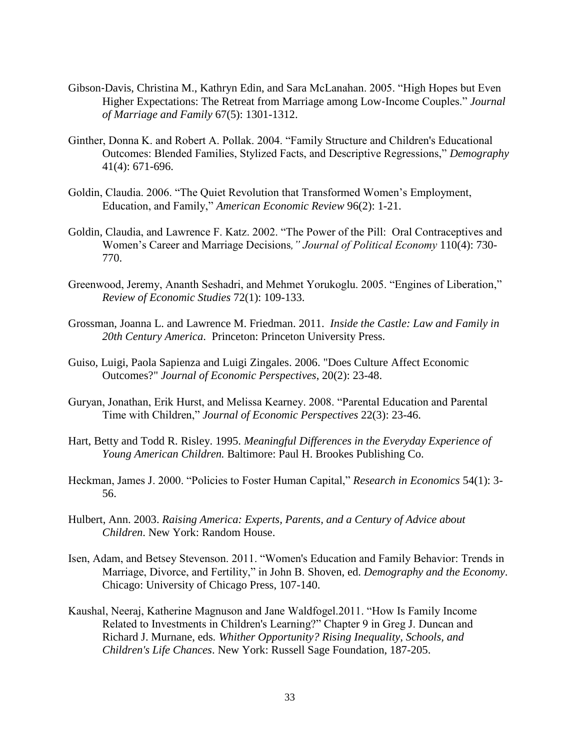- Gibson‐Davis, Christina M., Kathryn Edin, and Sara McLanahan. 2005. "High Hopes but Even Higher Expectations: The Retreat from Marriage among Low‐Income Couples." *Journal of Marriage and Family* 67(5): 1301-1312.
- Ginther, Donna K. and Robert A. Pollak. 2004. "Family Structure and Children's Educational Outcomes: Blended Families, Stylized Facts, and Descriptive Regressions," *Demography* 41(4): 671-696.
- Goldin, Claudia. 2006. "The Quiet Revolution that Transformed Women's Employment, Education, and Family," *American Economic Review* 96(2): 1-21.
- Goldin, Claudia, and Lawrence F. Katz. 2002. "The Power of the Pill: Oral Contraceptives and Women's Career and Marriage Decisions*," Journal of Political Economy* 110(4): 730- 770.
- Greenwood, Jeremy, Ananth Seshadri, and Mehmet Yorukoglu. 2005. "Engines of Liberation," *Review of Economic Studies* 72(1): 109-133.
- Grossman, Joanna L. and Lawrence M. Friedman. 2011. *Inside the Castle: Law and Family in 20th Century America*. Princeton: Princeton University Press.
- Guiso, Luigi, Paola Sapienza and Luigi Zingales. 2006. "Does Culture Affect Economic Outcomes?" *Journal of Economic Perspectives*, 20(2): 23-48.
- Guryan, Jonathan, Erik Hurst, and Melissa Kearney. 2008. "Parental Education and Parental Time with Children," *Journal of Economic Perspectives* 22(3): 23-46.
- Hart, Betty and Todd R. Risley. 1995. *Meaningful Differences in the Everyday Experience of Young American Children.* Baltimore: Paul H. Brookes Publishing Co.
- Heckman, James J. 2000. "Policies to Foster Human Capital," *Research in Economics* 54(1): 3- 56.
- Hulbert, Ann. 2003. *Raising America: Experts, Parents, and a Century of Advice about Children*. New York: Random House.
- Isen, Adam, and Betsey Stevenson. 2011. "Women's Education and Family Behavior: Trends in Marriage, Divorce, and Fertility," in John B. Shoven, ed. *Demography and the Economy*. Chicago: University of Chicago Press, 107-140.
- Kaushal, Neeraj, Katherine Magnuson and Jane Waldfogel.2011. "How Is Family Income Related to Investments in Children's Learning?" Chapter 9 in Greg J. Duncan and Richard J. Murnane, eds*. Whither Opportunity? Rising Inequality, Schools, and Children's Life Chances*. New York: Russell Sage Foundation, 187-205.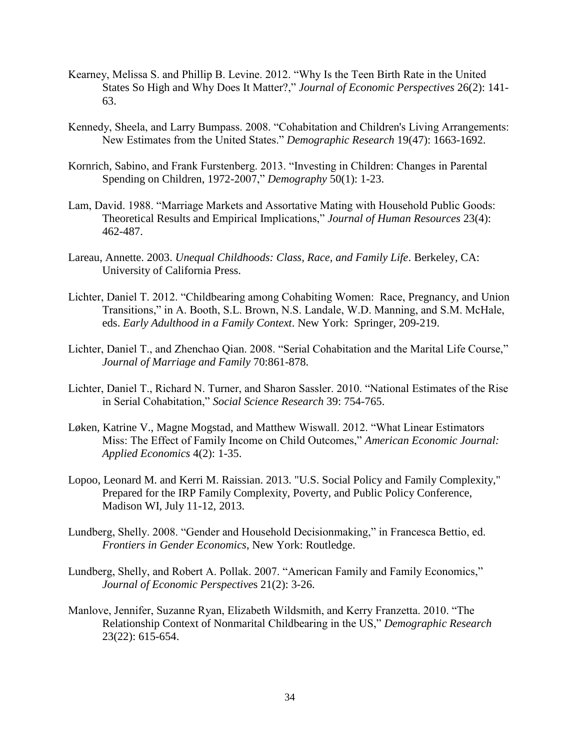- Kearney, Melissa S. and Phillip B. Levine. 2012. "Why Is the Teen Birth Rate in the United States So High and Why Does It Matter?," *Journal of Economic Perspectives* 26(2): 141- 63.
- Kennedy, Sheela, and Larry Bumpass. 2008. "Cohabitation and Children's Living Arrangements: New Estimates from the United States." *Demographic Research* 19(47): 1663-1692.
- Kornrich, Sabino, and Frank Furstenberg. 2013. "Investing in Children: Changes in Parental Spending on Children, 1972-2007," *Demography* 50(1): 1-23.
- Lam, David. 1988. "Marriage Markets and Assortative Mating with Household Public Goods: Theoretical Results and Empirical Implications," *Journal of Human Resources* 23(4): 462-487.
- Lareau, Annette. 2003. *Unequal Childhoods: Class, Race, and Family Life*. Berkeley, CA: University of California Press.
- Lichter, Daniel T. 2012. "Childbearing among Cohabiting Women: Race, Pregnancy, and Union Transitions," in A. Booth, S.L. Brown, N.S. Landale, W.D. Manning, and S.M. McHale, eds. *Early Adulthood in a Family Context*. New York: Springer, 209-219.
- Lichter, Daniel T., and Zhenchao Qian. 2008. "Serial Cohabitation and the Marital Life Course," *Journal of Marriage and Family* 70:861-878.
- Lichter, Daniel T., Richard N. Turner, and Sharon Sassler. 2010. "National Estimates of the Rise in Serial Cohabitation," *Social Science Research* 39: 754-765.
- Løken, Katrine V., Magne Mogstad, and Matthew Wiswall. 2012. "What Linear Estimators Miss: The Effect of Family Income on Child Outcomes," *American Economic Journal: Applied Economics* 4(2): 1-35.
- Lopoo, Leonard M. and Kerri M. Raissian. 2013. "U.S. Social Policy and Family Complexity," Prepared for the IRP Family Complexity, Poverty, and Public Policy Conference, Madison WI, July 11-12, 2013.
- Lundberg, Shelly. 2008. "Gender and Household Decisionmaking," in Francesca Bettio, ed. *Frontiers in Gender Economics*, New York: Routledge.
- Lundberg, Shelly, and Robert A. Pollak. 2007. "American Family and Family Economics," *Journal of Economic Perspective*s 21(2): 3-26.
- Manlove, Jennifer, Suzanne Ryan, Elizabeth Wildsmith, and Kerry Franzetta. 2010. "The Relationship Context of Nonmarital Childbearing in the US," *Demographic Research* 23(22): 615-654.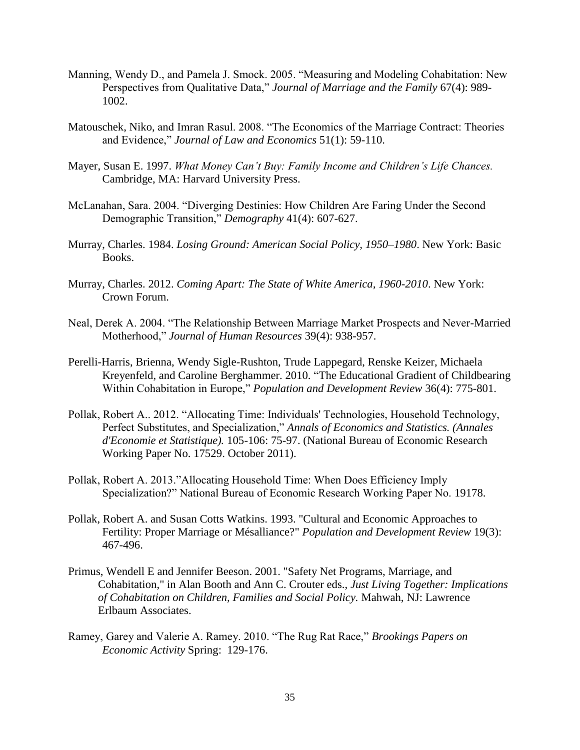- Manning, Wendy D., and Pamela J. Smock. 2005. "Measuring and Modeling Cohabitation: New Perspectives from Qualitative Data," *Journal of Marriage and the Family* 67(4): 989- 1002.
- Matouschek, Niko, and Imran Rasul. 2008. "The Economics of the Marriage Contract: Theories and Evidence," *Journal of Law and Economics* 51(1): 59-110.
- Mayer, Susan E. 1997. *What Money Can't Buy: Family Income and Children's Life Chances.* Cambridge, MA: Harvard University Press.
- McLanahan, Sara. 2004. "Diverging Destinies: How Children Are Faring Under the Second Demographic Transition," *Demography* 41(4): 607-627.
- Murray, Charles. 1984. *Losing Ground: American Social Policy, 1950–1980*. New York: Basic Books.
- Murray, Charles. 2012. *Coming Apart: The State of White America, 1960-2010*. New York: Crown Forum.
- Neal, Derek A. 2004. "The Relationship Between Marriage Market Prospects and Never-Married Motherhood," *Journal of Human Resources* 39(4): 938-957.
- Perelli-Harris, Brienna, Wendy Sigle-Rushton, Trude Lappegard, Renske Keizer, Michaela Kreyenfeld, and Caroline Berghammer. 2010. "The Educational Gradient of Childbearing Within Cohabitation in Europe," *Population and Development Review* 36(4): 775-801.
- Pollak, Robert A.. 2012. "Allocating Time: Individuals' Technologies, Household Technology, Perfect Substitutes, and Specialization," *Annals of Economics and Statistics. (Annales d'Economie et Statistique).* 105-106: 75-97. (National Bureau of Economic Research Working Paper No. 17529. October 2011).
- Pollak, Robert A. 2013."Allocating Household Time: When Does Efficiency Imply Specialization?" National Bureau of Economic Research Working Paper No. 19178.
- Pollak, Robert A. and Susan Cotts Watkins. 1993. "Cultural and Economic Approaches to Fertility: Proper Marriage or Mésalliance?" *Population and Development Review* 19(3): 467-496.
- Primus, Wendell E and Jennifer Beeson. 2001. "Safety Net Programs, Marriage, and Cohabitation," in Alan Booth and Ann C. Crouter eds., *Just Living Together: Implications of Cohabitation on Children, Families and Social Policy.* Mahwah, NJ: Lawrence Erlbaum Associates.
- Ramey, Garey and Valerie A. Ramey. 2010. "The Rug Rat Race," *Brookings Papers on Economic Activity* Spring: 129-176.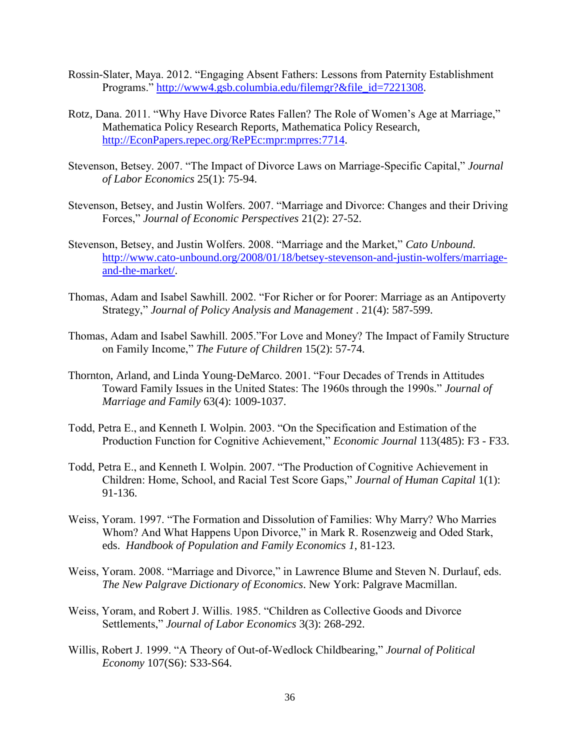- Rossin-Slater, Maya. 2012. "Engaging Absent Fathers: Lessons from Paternity Establishment Programs." [http://www4.gsb.columbia.edu/filemgr?&file\\_id=7221308.](http://www4.gsb.columbia.edu/filemgr?&file_id=7221308)
- Rotz, Dana. 2011. "Why Have Divorce Rates Fallen? The Role of Women's Age at Marriage," Mathematica Policy Research Reports, Mathematica Policy Research, [http://EconPapers.repec.org/RePEc:mpr:mprres:7714.](http://econpapers.repec.org/RePEc:mpr:mprres:7714)
- Stevenson, Betsey. 2007. "The Impact of Divorce Laws on Marriage-Specific Capital," *Journal of Labor Economics* 25(1): 75-94.
- Stevenson, Betsey, and Justin Wolfers. 2007. "Marriage and Divorce: Changes and their Driving Forces," *Journal of Economic Perspectives* 21(2): 27-52.
- Stevenson, Betsey, and Justin Wolfers. 2008. "Marriage and the Market," *Cato Unbound.* [http://www.cato-unbound.org/2008/01/18/betsey-stevenson-and-justin-wolfers/marriage](http://www.cato-unbound.org/2008/01/18/betsey-stevenson-and-justin-wolfers/marriage-and-the-market/)[and-the-market/.](http://www.cato-unbound.org/2008/01/18/betsey-stevenson-and-justin-wolfers/marriage-and-the-market/)
- Thomas, Adam and Isabel Sawhill. 2002. "For Richer or for Poorer: Marriage as an Antipoverty Strategy," *Journal of Policy Analysis and Management* . 21(4): 587-599.
- Thomas, Adam and Isabel Sawhill. 2005."For Love and Money? The Impact of Family Structure on Family Income," *The Future of Children* 15(2): 57-74.
- Thornton, Arland, and Linda Young‐DeMarco. 2001. "Four Decades of Trends in Attitudes Toward Family Issues in the United States: The 1960s through the 1990s." *Journal of Marriage and Family* 63(4): 1009-1037.
- Todd, Petra E., and Kenneth I. Wolpin. 2003. "On the Specification and Estimation of the Production Function for Cognitive Achievement," *Economic Journal* 113(485): F3 - F33.
- Todd, Petra E., and Kenneth I. Wolpin. 2007. "The Production of Cognitive Achievement in Children: Home, School, and Racial Test Score Gaps," *Journal of Human Capital* 1(1): 91-136.
- Weiss, Yoram. 1997. "The Formation and Dissolution of Families: Why Marry? Who Marries Whom? And What Happens Upon Divorce," in Mark R. Rosenzweig and Oded Stark, eds. *Handbook of Population and Family Economics 1*, 81-123.
- Weiss, Yoram. 2008. "Marriage and Divorce," in Lawrence Blume and Steven N. Durlauf, eds. *The New Palgrave Dictionary of Economics*. New York: Palgrave Macmillan.
- Weiss, Yoram, and Robert J. Willis. 1985. "Children as Collective Goods and Divorce Settlements," *Journal of Labor Economics* 3(3): 268-292.
- Willis, Robert J. 1999. "A Theory of Out-of-Wedlock Childbearing," *Journal of Political Economy* 107(S6): S33-S64.